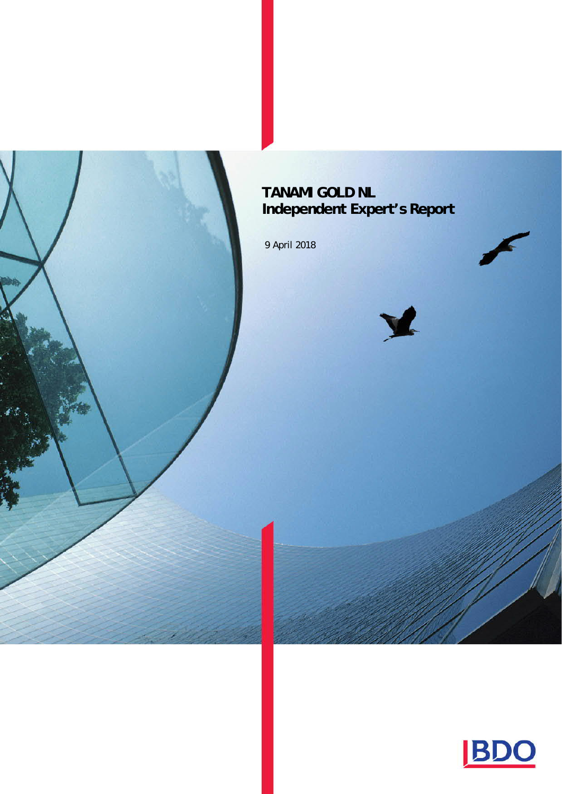# **TANAMI GOLD NL Independent Expert's Report**

9 April 2018





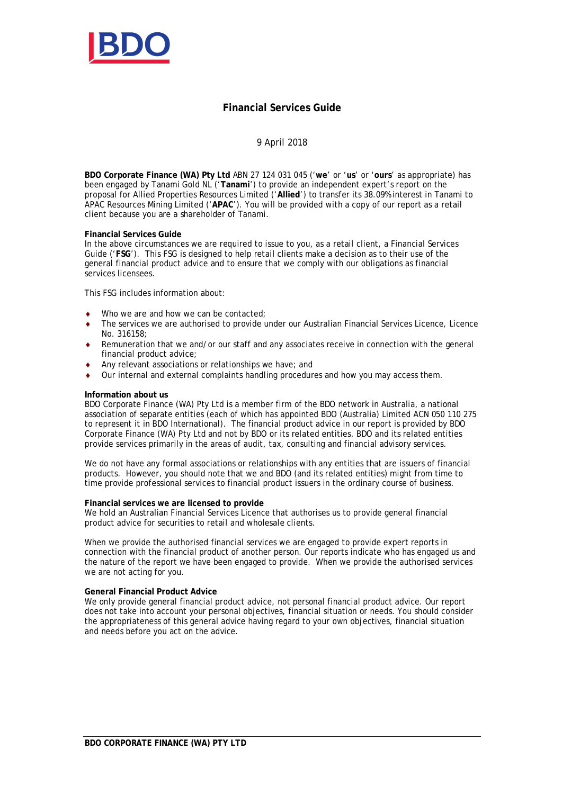

#### **Financial Services Guide**

#### 9 April 2018

**BDO Corporate Finance (WA) Pty Ltd** ABN 27 124 031 045 ('**we**' or '**us**' or '**ours**' as appropriate) has been engaged by Tanami Gold NL ('**Tanami**') to provide an independent expert's report on the proposal for Allied Properties Resources Limited ('**Allied**') to transfer its 38.09% interest in Tanami to APAC Resources Mining Limited ('**APAC**'). You will be provided with a copy of our report as a retail client because you are a shareholder of Tanami.

#### **Financial Services Guide**

In the above circumstances we are required to issue to you, as a retail client, a Financial Services Guide ('**FSG**'). This FSG is designed to help retail clients make a decision as to their use of the general financial product advice and to ensure that we comply with our obligations as financial services licensees.

This FSG includes information about:

- Who we are and how we can be contacted;
- The services we are authorised to provide under our Australian Financial Services Licence, Licence No. 316158;
- Remuneration that we and/or our staff and any associates receive in connection with the general financial product advice;
- Any relevant associations or relationships we have; and
- $\bullet$  Our internal and external complaints handling procedures and how you may access them.

#### **Information about us**

BDO Corporate Finance (WA) Pty Ltd is a member firm of the BDO network in Australia, a national association of separate entities (each of which has appointed BDO (Australia) Limited ACN 050 110 275 to represent it in BDO International). The financial product advice in our report is provided by BDO Corporate Finance (WA) Pty Ltd and not by BDO or its related entities. BDO and its related entities provide services primarily in the areas of audit, tax, consulting and financial advisory services.

We do not have any formal associations or relationships with any entities that are issuers of financial products. However, you should note that we and BDO (and its related entities) might from time to time provide professional services to financial product issuers in the ordinary course of business.

#### **Financial services we are licensed to provide**

We hold an Australian Financial Services Licence that authorises us to provide general financial product advice for securities to retail and wholesale clients.

When we provide the authorised financial services we are engaged to provide expert reports in connection with the financial product of another person. Our reports indicate who has engaged us and the nature of the report we have been engaged to provide. When we provide the authorised services we are not acting for you.

#### **General Financial Product Advice**

We only provide general financial product advice, not personal financial product advice. Our report does not take into account your personal objectives, financial situation or needs. You should consider the appropriateness of this general advice having regard to your own objectives, financial situation and needs before you act on the advice.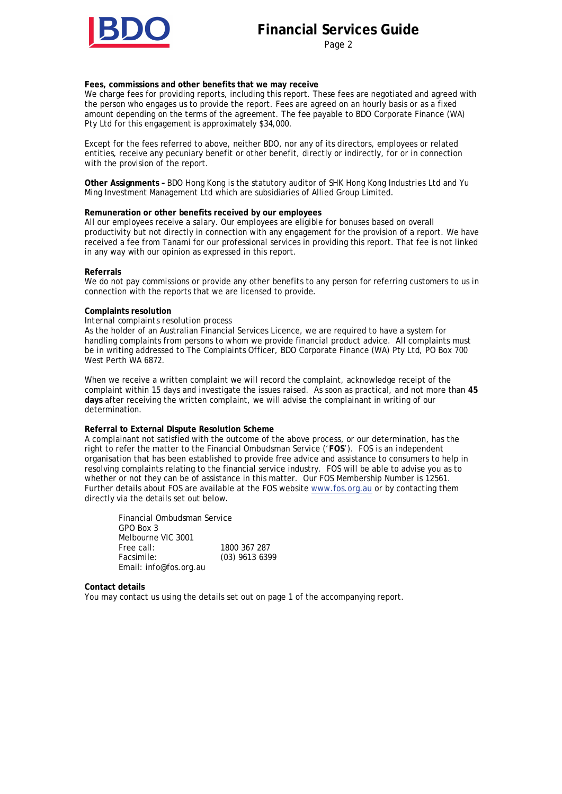# **Financial Services Guide**

Page 2

**Fees, commissions and other benefits that we may receive**

We charge fees for providing reports, including this report. These fees are negotiated and agreed with the person who engages us to provide the report. Fees are agreed on an hourly basis or as a fixed amount depending on the terms of the agreement. The fee payable to BDO Corporate Finance (WA) Pty Ltd for this engagement is approximately \$34,000.

Except for the fees referred to above, neither BDO, nor any of its directors, employees or related entities, receive any pecuniary benefit or other benefit, directly or indirectly, for or in connection with the provision of the report.

**Other Assignments –** BDO Hong Kong is the statutory auditor of SHK Hong Kong Industries Ltd and Yu Ming Investment Management Ltd which are subsidiaries of Allied Group Limited.

#### **Remuneration or other benefits received by our employees**

All our employees receive a salary. Our employees are eligible for bonuses based on overall productivity but not directly in connection with any engagement for the provision of a report. We have received a fee from Tanami for our professional services in providing this report. That fee is not linked in any way with our opinion as expressed in this report.

#### **Referrals**

We do not pay commissions or provide any other benefits to any person for referring customers to us in connection with the reports that we are licensed to provide.

#### **Complaints resolution**

*Internal complaints resolution process*

As the holder of an Australian Financial Services Licence, we are required to have a system for handling complaints from persons to whom we provide financial product advice. All complaints must be in writing addressed to The Complaints Officer, BDO Corporate Finance (WA) Pty Ltd, PO Box 700 West Perth WA 6872.

When we receive a written complaint we will record the complaint, acknowledge receipt of the complaint within 15 days and investigate the issues raised. As soon as practical, and not more than **45 days** after receiving the written complaint, we will advise the complainant in writing of our determination.

#### **Referral to External Dispute Resolution Scheme**

A complainant not satisfied with the outcome of the above process, or our determination, has the right to refer the matter to the Financial Ombudsman Service ('**FOS**'). FOS is an independent organisation that has been established to provide free advice and assistance to consumers to help in resolving complaints relating to the financial service industry. FOS will be able to advise you as to whether or not they can be of assistance in this matter. Our FOS Membership Number is 12561. Further details about FOS are available at the FOS website www.fos.org.au or by contacting them directly via the details set out below.

 Financial Ombudsman Service GPO Box 3 Melbourne VIC 3001 Free call: 1800 367 287 Facsimile: (03) 9613 6399 Email: info@fos.org.au

**Contact details**

You may contact us using the details set out on page 1 of the accompanying report.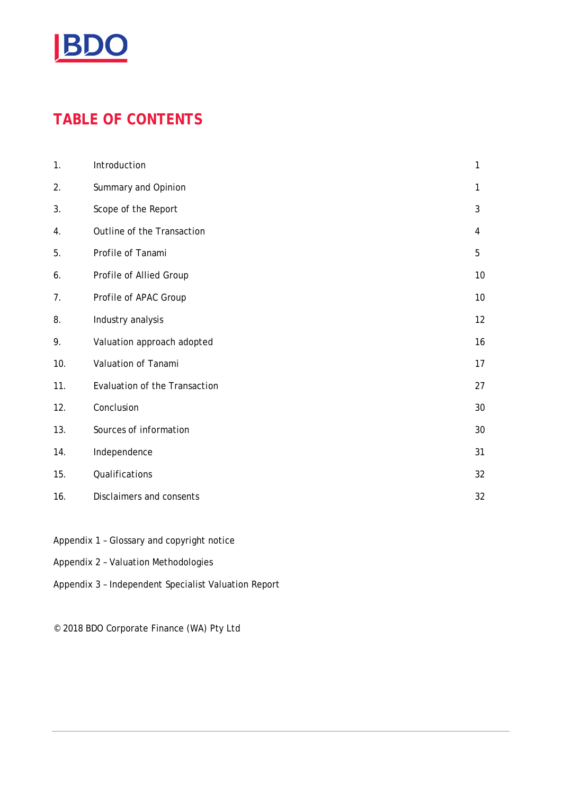

# **TABLE OF CONTENTS**

| 1.  | Introduction                  | 1  |
|-----|-------------------------------|----|
| 2.  | Summary and Opinion           | 1  |
| 3.  | Scope of the Report           | 3  |
| 4.  | Outline of the Transaction    | 4  |
| 5.  | Profile of Tanami             | 5  |
| 6.  | Profile of Allied Group       | 10 |
| 7.  | Profile of APAC Group         | 10 |
| 8.  | Industry analysis             | 12 |
| 9.  | Valuation approach adopted    | 16 |
| 10. | Valuation of Tanami           | 17 |
| 11. | Evaluation of the Transaction | 27 |
| 12. | Conclusion                    | 30 |
| 13. | Sources of information        | 30 |
| 14. | Independence                  | 31 |
| 15. | Qualifications                | 32 |
| 16. | Disclaimers and consents      | 32 |

- Appendix 1 Glossary and copyright notice
- Appendix 2 Valuation Methodologies
- Appendix 3 Independent Specialist Valuation Report

© 2018 BDO Corporate Finance (WA) Pty Ltd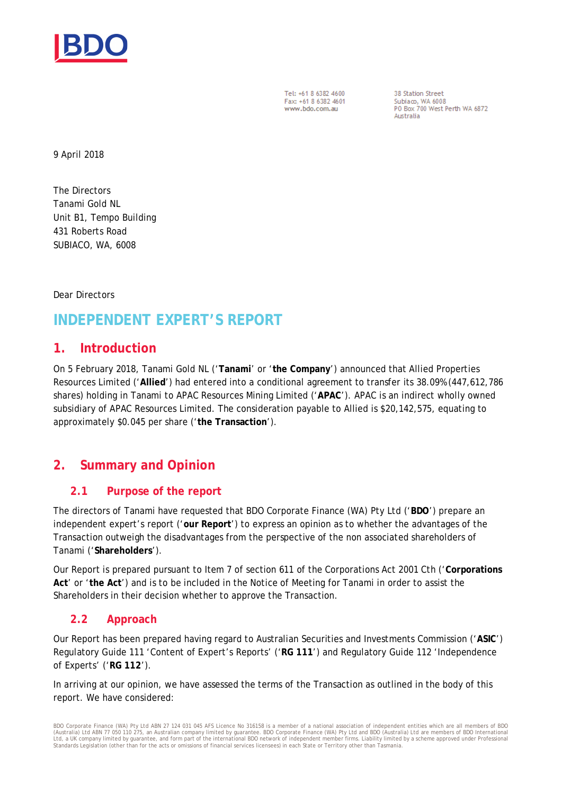

Tel: +61 8 6382 4600 Fax: +61 8 6382 4601 www.bdo.com.au

38 Station Street Subiaco, WA 6008<br>PO Box 700 West Perth WA 6872 Australia

9 April 2018

The Directors Tanami Gold NL Unit B1, Tempo Building 431 Roberts Road SUBIACO, WA, 6008

Dear Directors

# **INDEPENDENT EXPERT'S REPORT**

#### **1. Introduction**

On 5 February 2018, Tanami Gold NL ('**Tanami**' or '**the Company**') announced that Allied Properties Resources Limited ('**Allied**') had entered into a conditional agreement to transfer its 38.09% (447,612,786 shares) holding in Tanami to APAC Resources Mining Limited ('**APAC**'). APAC is an indirect wholly owned subsidiary of APAC Resources Limited. The consideration payable to Allied is \$20,142,575, equating to approximately \$0.045 per share ('**the Transaction**').

# **2. Summary and Opinion**

#### **2.1 Purpose of the report**

The directors of Tanami have requested that BDO Corporate Finance (WA) Pty Ltd ('**BDO**') prepare an independent expert's report ('**our Report**') to express an opinion as to whether the advantages of the Transaction outweigh the disadvantages from the perspective of the non associated shareholders of Tanami ('**Shareholders**').

Our Report is prepared pursuant to Item 7 of section 611 of the Corporations Act 2001 Cth ('**Corporations Act**' or '**the Act**') and is to be included in the Notice of Meeting for Tanami in order to assist the Shareholders in their decision whether to approve the Transaction.

#### **2.2 Approach**

Our Report has been prepared having regard to Australian Securities and Investments Commission ('**ASIC**') Regulatory Guide 111 'Content of Expert's Reports' ('**RG 111**') and Regulatory Guide 112 'Independence of Experts' ('**RG 112**').

In arriving at our opinion, we have assessed the terms of the Transaction as outlined in the body of this report. We have considered:

BDO Corporate Finance (WA) Pty Ltd ABN 27 124 031 045 AFS Licence No 316158 is a member of a national association of independent entities which are all members of BDO (Australia) Ltd ABN 77 050 110 275, an Australian company limited by guarantee. BDO Corporate Finance (WA) Pty Ltd and BDO (Australia) Ltd are members of BDO International<br>Ltd, a UK company limited by guarantee, and form p Standards Legislation (other than for the acts or omissions of financial services licensees) in each State or Territory other than Tasmania.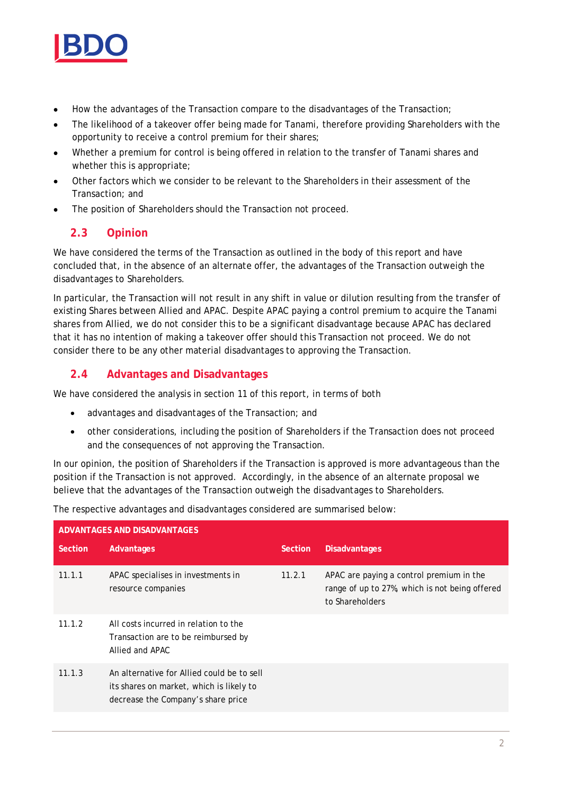

- · How the advantages of the Transaction compare to the disadvantages of the Transaction;
- · The likelihood of a takeover offer being made for Tanami, therefore providing Shareholders with the opportunity to receive a control premium for their shares;
- · Whether a premium for control is being offered in relation to the transfer of Tanami shares and whether this is appropriate;
- Other factors which we consider to be relevant to the Shareholders in their assessment of the Transaction; and
- The position of Shareholders should the Transaction not proceed.

#### **2.3 Opinion**

We have considered the terms of the Transaction as outlined in the body of this report and have concluded that, in the absence of an alternate offer, the advantages of the Transaction outweigh the disadvantages to Shareholders.

In particular, the Transaction will not result in any shift in value or dilution resulting from the transfer of existing Shares between Allied and APAC. Despite APAC paying a control premium to acquire the Tanami shares from Allied, we do not consider this to be a significant disadvantage because APAC has declared that it has no intention of making a takeover offer should this Transaction not proceed. We do not consider there to be any other material disadvantages to approving the Transaction.

#### **2.4 Advantages and Disadvantages**

We have considered the analysis in section 11 of this report, in terms of both

- · advantages and disadvantages of the Transaction; and
- · other considerations, including the position of Shareholders if the Transaction does not proceed and the consequences of not approving the Transaction.

In our opinion, the position of Shareholders if the Transaction is approved is more advantageous than the position if the Transaction is not approved. Accordingly, in the absence of an alternate proposal we believe that the advantages of the Transaction outweigh the disadvantages to Shareholders.

The respective advantages and disadvantages considered are summarised below:

| ADVANTAGES AND DISADVANTAGES |                                                                                                                              |         |                                                                                                               |  |  |  |
|------------------------------|------------------------------------------------------------------------------------------------------------------------------|---------|---------------------------------------------------------------------------------------------------------------|--|--|--|
| Section                      | Advantages                                                                                                                   | Section | <b>Disadvantages</b>                                                                                          |  |  |  |
| 11.1.1                       | APAC specialises in investments in<br>resource companies                                                                     | 11.2.1  | APAC are paying a control premium in the<br>range of up to 27%, which is not being offered<br>to Shareholders |  |  |  |
| 11.1.2                       | All costs incurred in relation to the<br>Transaction are to be reimbursed by<br>Allied and APAC                              |         |                                                                                                               |  |  |  |
| 11.1.3                       | An alternative for Allied could be to sell<br>its shares on market, which is likely to<br>decrease the Company's share price |         |                                                                                                               |  |  |  |
|                              |                                                                                                                              |         |                                                                                                               |  |  |  |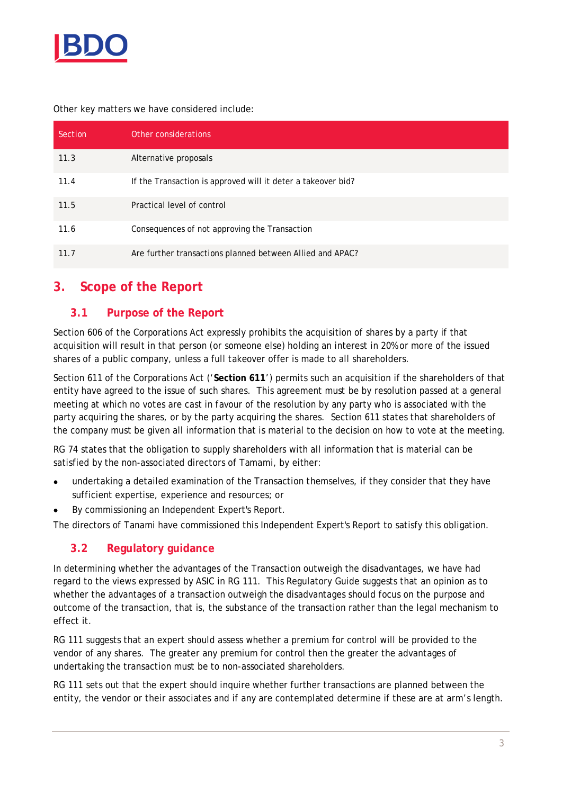

Other key matters we have considered include:

| Section | Other considerations                                         |
|---------|--------------------------------------------------------------|
| 11.3    | Alternative proposals                                        |
| 11.4    | If the Transaction is approved will it deter a takeover bid? |
| 11.5    | Practical level of control                                   |
| 11.6    | Consequences of not approving the Transaction                |
| 11.7    | Are further transactions planned between Allied and APAC?    |

# **3. Scope of the Report**

#### **3.1 Purpose of the Report**

Section 606 of the Corporations Act expressly prohibits the acquisition of shares by a party if that acquisition will result in that person (or someone else) holding an interest in 20% or more of the issued shares of a public company, unless a full takeover offer is made to all shareholders.

Section 611 of the Corporations Act ('**Section 611**') permits such an acquisition if the shareholders of that entity have agreed to the issue of such shares. This agreement must be by resolution passed at a general meeting at which no votes are cast in favour of the resolution by any party who is associated with the party acquiring the shares, or by the party acquiring the shares. Section 611 states that shareholders of the company must be given all information that is material to the decision on how to vote at the meeting.

RG 74 states that the obligation to supply shareholders with all information that is material can be satisfied by the non-associated directors of Tamami, by either:

- undertaking a detailed examination of the Transaction themselves, if they consider that they have sufficient expertise, experience and resources; or
- By commissioning an Independent Expert's Report.

The directors of Tanami have commissioned this Independent Expert's Report to satisfy this obligation.

#### **3.2 Regulatory guidance**

In determining whether the advantages of the Transaction outweigh the disadvantages, we have had regard to the views expressed by ASIC in RG 111. This Regulatory Guide suggests that an opinion as to whether the advantages of a transaction outweigh the disadvantages should focus on the purpose and outcome of the transaction, that is, the substance of the transaction rather than the legal mechanism to effect it.

RG 111 suggests that an expert should assess whether a premium for control will be provided to the vendor of any shares. The greater any premium for control then the greater the advantages of undertaking the transaction must be to non-associated shareholders.

RG 111 sets out that the expert should inquire whether further transactions are planned between the entity, the vendor or their associates and if any are contemplated determine if these are at arm's length.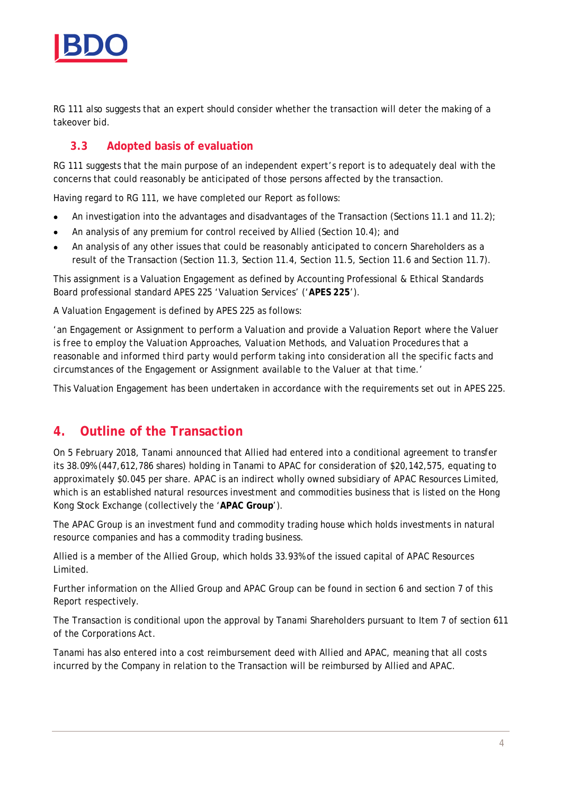

RG 111 also suggests that an expert should consider whether the transaction will deter the making of a takeover bid.

### **3.3 Adopted basis of evaluation**

RG 111 suggests that the main purpose of an independent expert's report is to adequately deal with the concerns that could reasonably be anticipated of those persons affected by the transaction.

Having regard to RG 111, we have completed our Report as follows:

- An investigation into the advantages and disadvantages of the Transaction (Sections 11.1 and 11.2);
- An analysis of any premium for control received by Allied (Section 10.4); and
- · An analysis of any other issues that could be reasonably anticipated to concern Shareholders as a result of the Transaction (Section 11.3, Section 11.4, Section 11.5, Section 11.6 and Section 11.7).

This assignment is a Valuation Engagement as defined by Accounting Professional & Ethical Standards Board professional standard APES 225 'Valuation Services' ('**APES 225**').

A Valuation Engagement is defined by APES 225 as follows:

*'an Engagement or Assignment to perform a Valuation and provide a Valuation Report where the Valuer is free to employ the Valuation Approaches, Valuation Methods, and Valuation Procedures that a reasonable and informed third party would perform taking into consideration all the specific facts and circumstances of the Engagement or Assignment available to the Valuer at that time.'*

This Valuation Engagement has been undertaken in accordance with the requirements set out in APES 225.

# **4. Outline of the Transaction**

On 5 February 2018, Tanami announced that Allied had entered into a conditional agreement to transfer its 38.09% (447,612,786 shares) holding in Tanami to APAC for consideration of \$20,142,575, equating to approximately \$0.045 per share. APAC is an indirect wholly owned subsidiary of APAC Resources Limited, which is an established natural resources investment and commodities business that is listed on the Hong Kong Stock Exchange (collectively the '**APAC Group**').

The APAC Group is an investment fund and commodity trading house which holds investments in natural resource companies and has a commodity trading business.

Allied is a member of the Allied Group, which holds 33.93% of the issued capital of APAC Resources Limited.

Further information on the Allied Group and APAC Group can be found in section 6 and section 7 of this Report respectively.

The Transaction is conditional upon the approval by Tanami Shareholders pursuant to Item 7 of section 611 of the Corporations Act.

Tanami has also entered into a cost reimbursement deed with Allied and APAC, meaning that all costs incurred by the Company in relation to the Transaction will be reimbursed by Allied and APAC.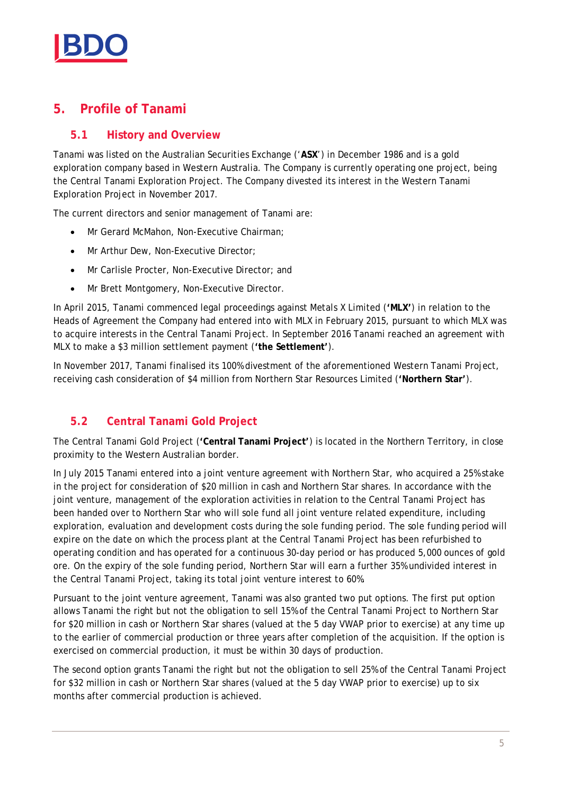

# **5. Profile of Tanami**

# **5.1 History and Overview**

Tanami was listed on the Australian Securities Exchange ('**ASX**') in December 1986 and is a gold exploration company based in Western Australia. The Company is currently operating one project, being the Central Tanami Exploration Project. The Company divested its interest in the Western Tanami Exploration Project in November 2017.

The current directors and senior management of Tanami are:

- · Mr Gerard McMahon, Non-Executive Chairman;
- Mr Arthur Dew, Non-Executive Director;
- · Mr Carlisle Procter, Non-Executive Director; and
- · Mr Brett Montgomery, Non-Executive Director.

In April 2015, Tanami commenced legal proceedings against Metals X Limited (**'MLX'**) in relation to the Heads of Agreement the Company had entered into with MLX in February 2015, pursuant to which MLX was to acquire interests in the Central Tanami Project. In September 2016 Tanami reached an agreement with MLX to make a \$3 million settlement payment (**'the Settlement'**).

In November 2017, Tanami finalised its 100% divestment of the aforementioned Western Tanami Project, receiving cash consideration of \$4 million from Northern Star Resources Limited (**'Northern Star'**).

# **5.2 Central Tanami Gold Project**

The Central Tanami Gold Project (**'Central Tanami Project'**) is located in the Northern Territory, in close proximity to the Western Australian border.

In July 2015 Tanami entered into a joint venture agreement with Northern Star, who acquired a 25% stake in the project for consideration of \$20 million in cash and Northern Star shares. In accordance with the joint venture, management of the exploration activities in relation to the Central Tanami Project has been handed over to Northern Star who will sole fund all joint venture related expenditure, including exploration, evaluation and development costs during the sole funding period. The sole funding period will expire on the date on which the process plant at the Central Tanami Project has been refurbished to operating condition and has operated for a continuous 30-day period or has produced 5,000 ounces of gold ore. On the expiry of the sole funding period, Northern Star will earn a further 35% undivided interest in the Central Tanami Project, taking its total joint venture interest to 60%.

Pursuant to the joint venture agreement, Tanami was also granted two put options. The first put option allows Tanami the right but not the obligation to sell 15% of the Central Tanami Project to Northern Star for \$20 million in cash or Northern Star shares (valued at the 5 day VWAP prior to exercise) at any time up to the earlier of commercial production or three years after completion of the acquisition. If the option is exercised on commercial production, it must be within 30 days of production.

The second option grants Tanami the right but not the obligation to sell 25% of the Central Tanami Project for \$32 million in cash or Northern Star shares (valued at the 5 day VWAP prior to exercise) up to six months after commercial production is achieved.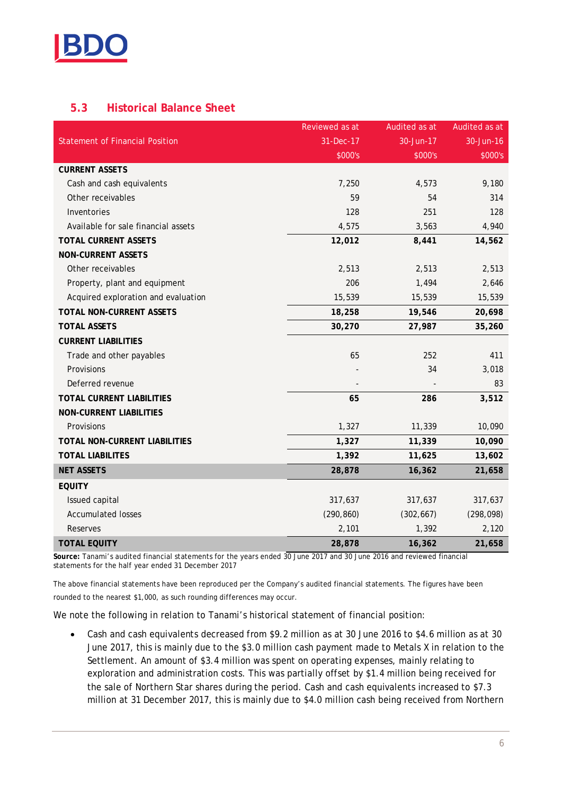

# **5.3 Historical Balance Sheet**

|                                        | Reviewed as at | Audited as at | Audited as at |
|----------------------------------------|----------------|---------------|---------------|
| <b>Statement of Financial Position</b> | 31-Dec-17      | 30-Jun-17     | 30-Jun-16     |
|                                        | \$000's        | \$000's       | \$000's       |
| <b>CURRENT ASSETS</b>                  |                |               |               |
| Cash and cash equivalents              | 7,250          | 4,573         | 9,180         |
| Other receivables                      | 59             | 54            | 314           |
| Inventories                            | 128            | 251           | 128           |
| Available for sale financial assets    | 4,575          | 3,563         | 4,940         |
| TOTAL CURRENT ASSETS                   | 12,012         | 8,441         | 14,562        |
| NON-CURRENT ASSETS                     |                |               |               |
| Other receivables                      | 2,513          | 2,513         | 2,513         |
| Property, plant and equipment          | 206            | 1,494         | 2,646         |
| Acquired exploration and evaluation    | 15,539         | 15,539        | 15,539        |
| TOTAL NON-CURRENT ASSETS               | 18,258         | 19,546        | 20,698        |
| <b>TOTAL ASSETS</b>                    | 30,270         | 27,987        | 35,260        |
| <b>CURRENT LIABILITIES</b>             |                |               |               |
| Trade and other payables               | 65             | 252           | 411           |
| Provisions                             |                | 34            | 3,018         |
| Deferred revenue                       |                |               | 83            |
| TOTAL CURRENT LIABILITIES              | 65             | 286           | 3,512         |
| NON-CURRENT LIABILITIES                |                |               |               |
| Provisions                             | 1,327          | 11,339        | 10,090        |
| TOTAL NON-CURRENT LIABILITIES          | 1,327          | 11,339        | 10,090        |
| <b>TOTAL LIABILITES</b>                | 1,392          | 11,625        | 13,602        |
| <b>NET ASSETS</b>                      | 28,878         | 16,362        | 21,658        |
| <b>EQUITY</b>                          |                |               |               |
| Issued capital                         | 317,637        | 317,637       | 317,637       |
| <b>Accumulated losses</b>              | (290, 860)     | (302, 667)    | (298, 098)    |
| Reserves                               | 2,101          | 1,392         | 2,120         |
| <b>TOTAL EQUITY</b>                    | 28,878         | 16,362        | 21,658        |

**Source:** Tanami's audited financial statements for the years ended 30 June 2017 and 30 June 2016 and reviewed financial statements for the half year ended 31 December 2017

The above financial statements have been reproduced per the Company's audited financial statements. The figures have been rounded to the nearest \$1,000, as such rounding differences may occur.

We note the following in relation to Tanami's historical statement of financial position:

· Cash and cash equivalents decreased from \$9.2 million as at 30 June 2016 to \$4.6 million as at 30 June 2017, this is mainly due to the \$3.0 million cash payment made to Metals X in relation to the Settlement. An amount of \$3.4 million was spent on operating expenses, mainly relating to exploration and administration costs. This was partially offset by \$1.4 million being received for the sale of Northern Star shares during the period. Cash and cash equivalents increased to \$7.3 million at 31 December 2017, this is mainly due to \$4.0 million cash being received from Northern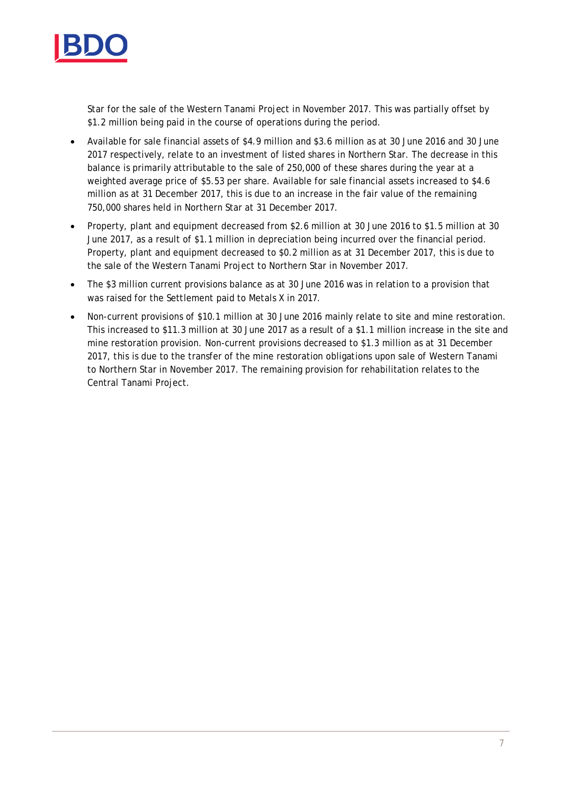

Star for the sale of the Western Tanami Project in November 2017. This was partially offset by \$1.2 million being paid in the course of operations during the period.

- · Available for sale financial assets of \$4.9 million and \$3.6 million as at 30 June 2016 and 30 June 2017 respectively, relate to an investment of listed shares in Northern Star. The decrease in this balance is primarily attributable to the sale of 250,000 of these shares during the year at a weighted average price of \$5.53 per share. Available for sale financial assets increased to \$4.6 million as at 31 December 2017, this is due to an increase in the fair value of the remaining 750,000 shares held in Northern Star at 31 December 2017.
- · Property, plant and equipment decreased from \$2.6 million at 30 June 2016 to \$1.5 million at 30 June 2017, as a result of \$1.1 million in depreciation being incurred over the financial period. Property, plant and equipment decreased to \$0.2 million as at 31 December 2017, this is due to the sale of the Western Tanami Project to Northern Star in November 2017.
- · The \$3 million current provisions balance as at 30 June 2016 was in relation to a provision that was raised for the Settlement paid to Metals X in 2017.
- · Non-current provisions of \$10.1 million at 30 June 2016 mainly relate to site and mine restoration. This increased to \$11.3 million at 30 June 2017 as a result of a \$1.1 million increase in the site and mine restoration provision. Non-current provisions decreased to \$1.3 million as at 31 December 2017, this is due to the transfer of the mine restoration obligations upon sale of Western Tanami to Northern Star in November 2017. The remaining provision for rehabilitation relates to the Central Tanami Project.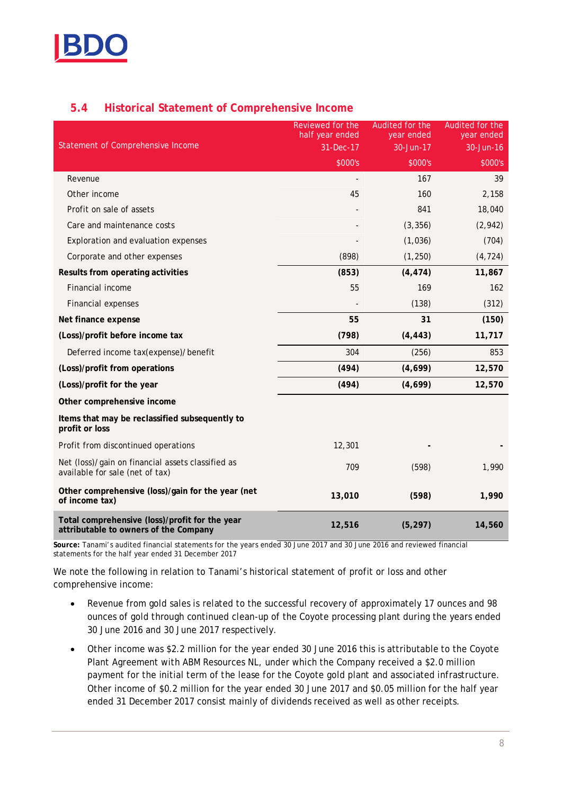

# **5.4 Historical Statement of Comprehensive Income**

|                                                                                         | Reviewed for the<br>half year ended | Audited for the<br>year ended | Audited for the<br>year ended |
|-----------------------------------------------------------------------------------------|-------------------------------------|-------------------------------|-------------------------------|
| Statement of Comprehensive Income                                                       | 31-Dec-17                           | 30-Jun-17                     | 30-Jun-16                     |
|                                                                                         | \$000's                             | \$000's                       | \$000's                       |
| Revenue                                                                                 |                                     | 167                           | 39                            |
| Other income                                                                            | 45                                  | 160                           | 2,158                         |
| Profit on sale of assets                                                                |                                     | 841                           | 18,040                        |
| Care and maintenance costs                                                              |                                     | (3, 356)                      | (2, 942)                      |
| Exploration and evaluation expenses                                                     |                                     | (1,036)                       | (704)                         |
| Corporate and other expenses                                                            | (898)                               | (1, 250)                      | (4, 724)                      |
| Results from operating activities                                                       | (853)                               | (4, 474)                      | 11,867                        |
| Financial income                                                                        | 55                                  | 169                           | 162                           |
| Financial expenses                                                                      |                                     | (138)                         | (312)                         |
| Net finance expense                                                                     | 55                                  | 31                            | (150)                         |
| (Loss)/profit before income tax                                                         | (798)                               | (4, 443)                      | 11,717                        |
| Deferred income tax(expense)/benefit                                                    | 304                                 | (256)                         | 853                           |
| (Loss)/profit from operations                                                           | (494)                               | (4,699)                       | 12,570                        |
| (Loss)/profit for the year                                                              | (494)                               | (4,699)                       | 12,570                        |
| Other comprehensive income                                                              |                                     |                               |                               |
| Items that may be reclassified subsequently to<br>profit or loss                        |                                     |                               |                               |
| Profit from discontinued operations                                                     | 12,301                              |                               |                               |
| Net (loss)/gain on financial assets classified as<br>available for sale (net of tax)    | 709                                 | (598)                         | 1,990                         |
| Other comprehensive (loss)/gain for the year (net<br>of income tax)                     | 13,010                              | (598)                         | 1,990                         |
| Total comprehensive (loss)/profit for the year<br>attributable to owners of the Company | 12,516                              | (5, 297)                      | 14,560                        |

**Source:** Tanami's audited financial statements for the years ended 30 June 2017 and 30 June 2016 and reviewed financial statements for the half year ended 31 December 2017

We note the following in relation to Tanami's historical statement of profit or loss and other comprehensive income:

- · Revenue from gold sales is related to the successful recovery of approximately 17 ounces and 98 ounces of gold through continued clean-up of the Coyote processing plant during the years ended 30 June 2016 and 30 June 2017 respectively.
- · Other income was \$2.2 million for the year ended 30 June 2016 this is attributable to the Coyote Plant Agreement with ABM Resources NL, under which the Company received a \$2.0 million payment for the initial term of the lease for the Coyote gold plant and associated infrastructure. Other income of \$0.2 million for the year ended 30 June 2017 and \$0.05 million for the half year ended 31 December 2017 consist mainly of dividends received as well as other receipts.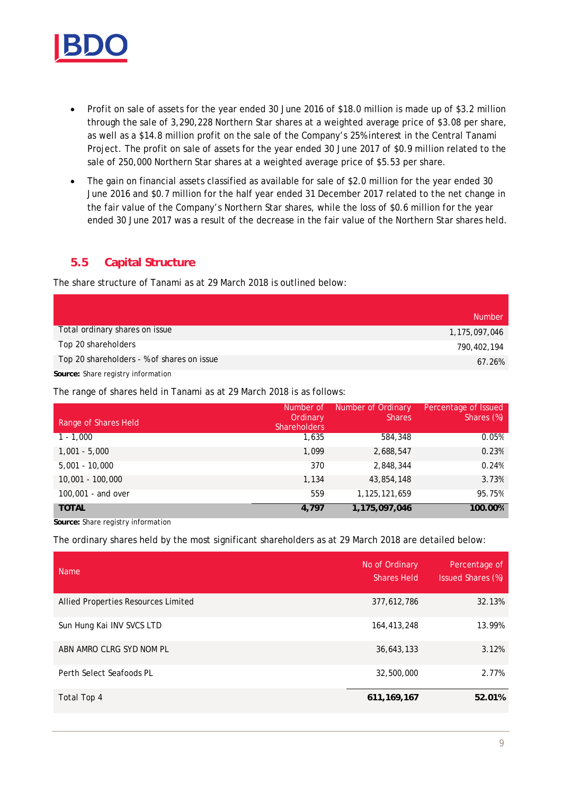

- · Profit on sale of assets for the year ended 30 June 2016 of \$18.0 million is made up of \$3.2 million through the sale of 3,290,228 Northern Star shares at a weighted average price of \$3.08 per share, as well as a \$14.8 million profit on the sale of the Company's 25% interest in the Central Tanami Project. The profit on sale of assets for the year ended 30 June 2017 of \$0.9 million related to the sale of 250,000 Northern Star shares at a weighted average price of \$5.53 per share.
- · The gain on financial assets classified as available for sale of \$2.0 million for the year ended 30 June 2016 and \$0.7 million for the half year ended 31 December 2017 related to the net change in the fair value of the Company's Northern Star shares, while the loss of \$0.6 million for the year ended 30 June 2017 was a result of the decrease in the fair value of the Northern Star shares held.

#### **5.5 Capital Structure**

The share structure of Tanami as at 29 March 2018 is outlined below:

|                                            | <b>Number</b> |
|--------------------------------------------|---------------|
| Total ordinary shares on issue             | 1,175,097,046 |
| Top 20 shareholders                        | 790,402,194   |
| Top 20 shareholders - % of shares on issue | 67.26%        |

**Source:** Share registry information

The range of shares held in Tanami as at 29 March 2018 is as follows:

| Range of Shares Held | Number of<br>Ordinary<br><b>Shareholders</b> | Number of Ordinary<br><b>Shares</b> | Percentage of Issued<br>Shares (%) |
|----------------------|----------------------------------------------|-------------------------------------|------------------------------------|
| $1 - 1.000$          | 1,635                                        | 584,348                             | 0.05%                              |
| $1,001 - 5,000$      | 1.099                                        | 2,688,547                           | 0.23%                              |
| $5,001 - 10,000$     | 370                                          | 2,848,344                           | 0.24%                              |
| $10,001 - 100,000$   | 1,134                                        | 43,854,148                          | 3.73%                              |
| 100,001 - and over   | 559                                          | 1, 125, 121, 659                    | 95.75%                             |
| <b>TOTAL</b>         | 4.797                                        | 1,175,097,046                       | 100.00%                            |

**Source:** Share registry information

The ordinary shares held by the most significant shareholders as at 29 March 2018 are detailed below:

| <b>Name</b>                         | No of Ordinary<br><b>Shares Held</b> | Percentage of<br>Issued Shares (%) |
|-------------------------------------|--------------------------------------|------------------------------------|
| Allied Properties Resources Limited | 377,612,786                          | 32.13%                             |
| Sun Hung Kai INV SVCS LTD           | 164,413,248                          | 13.99%                             |
| ABN AMRO CLRG SYD NOM PL            | 36,643,133                           | 3.12%                              |
| Perth Select Seafoods PL            | 32,500,000                           | 2.77%                              |
| Total Top 4                         | 611, 169, 167                        | 52.01%                             |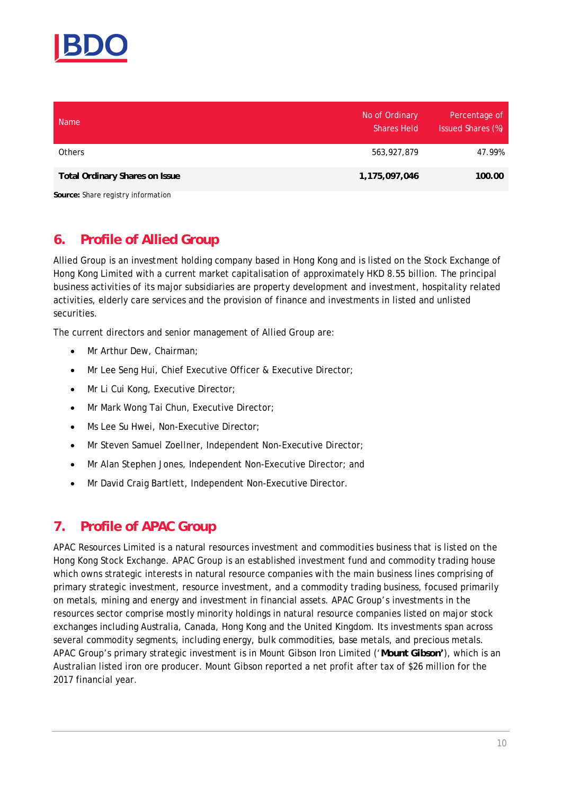

| <b>Name</b>                        | No of Ordinary<br><b>Shares Held</b> | Percentage of<br>Issued Shares (%) |
|------------------------------------|--------------------------------------|------------------------------------|
| <b>Others</b>                      | 563, 927, 879                        | 47.99%                             |
| Total Ordinary Shares on Issue     | 1,175,097,046                        | 100.00                             |
| Source: Share registry information |                                      |                                    |

# **6. Profile of Allied Group**

Allied Group is an investment holding company based in Hong Kong and is listed on the Stock Exchange of Hong Kong Limited with a current market capitalisation of approximately HKD 8.55 billion. The principal business activities of its major subsidiaries are property development and investment, hospitality related activities, elderly care services and the provision of finance and investments in listed and unlisted securities.

The current directors and senior management of Allied Group are:

- Mr Arthur Dew, Chairman;
- · Mr Lee Seng Hui, Chief Executive Officer & Executive Director;
- · Mr Li Cui Kong, Executive Director;
- · Mr Mark Wong Tai Chun, Executive Director;
- · Ms Lee Su Hwei, Non-Executive Director;
- · Mr Steven Samuel Zoellner, Independent Non-Executive Director;
- · Mr Alan Stephen Jones, Independent Non-Executive Director; and
- · Mr David Craig Bartlett, Independent Non-Executive Director.

# **7. Profile of APAC Group**

APAC Resources Limited is a natural resources investment and commodities business that is listed on the Hong Kong Stock Exchange. APAC Group is an established investment fund and commodity trading house which owns strategic interests in natural resource companies with the main business lines comprising of primary strategic investment, resource investment, and a commodity trading business, focused primarily on metals, mining and energy and investment in financial assets. APAC Group's investments in the resources sector comprise mostly minority holdings in natural resource companies listed on major stock exchanges including Australia, Canada, Hong Kong and the United Kingdom. Its investments span across several commodity segments, including energy, bulk commodities, base metals, and precious metals. APAC Group's primary strategic investment is in Mount Gibson Iron Limited ('**Mount Gibson'**), which is an Australian listed iron ore producer. Mount Gibson reported a net profit after tax of \$26 million for the 2017 financial year.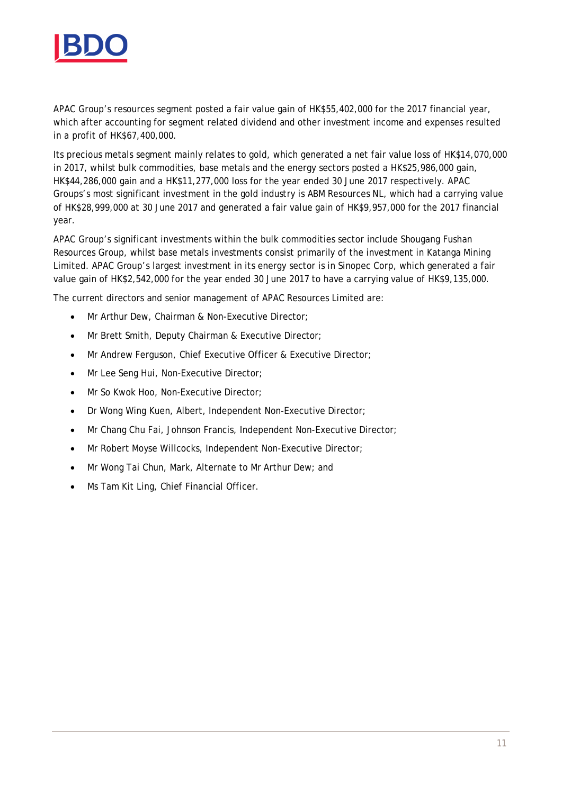

APAC Group's resources segment posted a fair value gain of HK\$55,402,000 for the 2017 financial year, which after accounting for segment related dividend and other investment income and expenses resulted in a profit of HK\$67,400,000.

Its precious metals segment mainly relates to gold, which generated a net fair value loss of HK\$14,070,000 in 2017, whilst bulk commodities, base metals and the energy sectors posted a HK\$25,986,000 gain, HK\$44,286,000 gain and a HK\$11,277,000 loss for the year ended 30 June 2017 respectively. APAC Groups's most significant investment in the gold industry is ABM Resources NL, which had a carrying value of HK\$28,999,000 at 30 June 2017 and generated a fair value gain of HK\$9,957,000 for the 2017 financial year.

APAC Group's significant investments within the bulk commodities sector include Shougang Fushan Resources Group, whilst base metals investments consist primarily of the investment in Katanga Mining Limited. APAC Group's largest investment in its energy sector is in Sinopec Corp, which generated a fair value gain of HK\$2,542,000 for the year ended 30 June 2017 to have a carrying value of HK\$9,135,000.

The current directors and senior management of APAC Resources Limited are:

- · Mr Arthur Dew, Chairman & Non-Executive Director;
- · Mr Brett Smith, Deputy Chairman & Executive Director;
- · Mr Andrew Ferguson, Chief Executive Officer & Executive Director;
- Mr Lee Seng Hui, Non-Executive Director;
- · Mr So Kwok Hoo, Non-Executive Director;
- · Dr Wong Wing Kuen, Albert, Independent Non-Executive Director;
- · Mr Chang Chu Fai, Johnson Francis, Independent Non-Executive Director;
- · Mr Robert Moyse Willcocks, Independent Non-Executive Director;
- Mr Wong Tai Chun, Mark, Alternate to Mr Arthur Dew; and
- Ms Tam Kit Ling, Chief Financial Officer.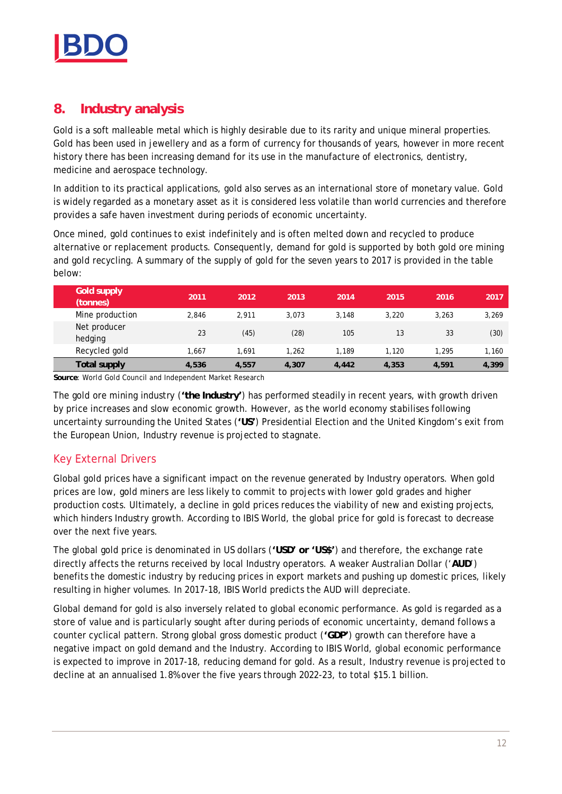

# **8. Industry analysis**

Gold is a soft malleable metal which is highly desirable due to its rarity and unique mineral properties. Gold has been used in jewellery and as a form of currency for thousands of years, however in more recent history there has been increasing demand for its use in the manufacture of electronics, dentistry, medicine and aerospace technology.

In addition to its practical applications, gold also serves as an international store of monetary value. Gold is widely regarded as a monetary asset as it is considered less volatile than world currencies and therefore provides a safe haven investment during periods of economic uncertainty.

Once mined, gold continues to exist indefinitely and is often melted down and recycled to produce alternative or replacement products. Consequently, demand for gold is supported by both gold ore mining and gold recycling. A summary of the supply of gold for the seven years to 2017 is provided in the table below:

| Gold supply<br>(tonnes) | 2011  | 2012  | 2013  | 2014  | 2015  | 2016  | 2017  |
|-------------------------|-------|-------|-------|-------|-------|-------|-------|
| Mine production         | 2.846 | 2.911 | 3.073 | 3.148 | 3,220 | 3.263 | 3,269 |
| Net producer<br>hedging | 23    | (45)  | (28)  | 105   | 13    | 33    | (30)  |
| Recycled gold           | .667  | 1.691 | 1.262 | 1.189 | 1.120 | 1.295 | 1.160 |
| Total supply            | 4,536 | 4.557 | 4,307 | 4,442 | 4,353 | 4,591 | 4,399 |

**Source**: World Gold Council and Independent Market Research

The gold ore mining industry (**'the Industry'**) has performed steadily in recent years, with growth driven by price increases and slow economic growth. However, as the world economy stabilises following uncertainty surrounding the United States (**'US'**) Presidential Election and the United Kingdom's exit from the European Union, Industry revenue is projected to stagnate.

# Key External Drivers

Global gold prices have a significant impact on the revenue generated by Industry operators. When gold prices are low, gold miners are less likely to commit to projects with lower gold grades and higher production costs. Ultimately, a decline in gold prices reduces the viability of new and existing projects, which hinders Industry growth. According to IBIS World, the global price for gold is forecast to decrease over the next five years.

The global gold price is denominated in US dollars (**'USD' or 'US\$'**) and therefore, the exchange rate directly affects the returns received by local Industry operators. A weaker Australian Dollar ('**AUD**') benefits the domestic industry by reducing prices in export markets and pushing up domestic prices, likely resulting in higher volumes. In 2017-18, IBIS World predicts the AUD will depreciate.

Global demand for gold is also inversely related to global economic performance. As gold is regarded as a store of value and is particularly sought after during periods of economic uncertainty, demand follows a counter cyclical pattern. Strong global gross domestic product (**'GDP'**) growth can therefore have a negative impact on gold demand and the Industry. According to IBIS World, global economic performance is expected to improve in 2017-18, reducing demand for gold. As a result, Industry revenue is projected to decline at an annualised 1.8% over the five years through 2022-23, to total \$15.1 billion.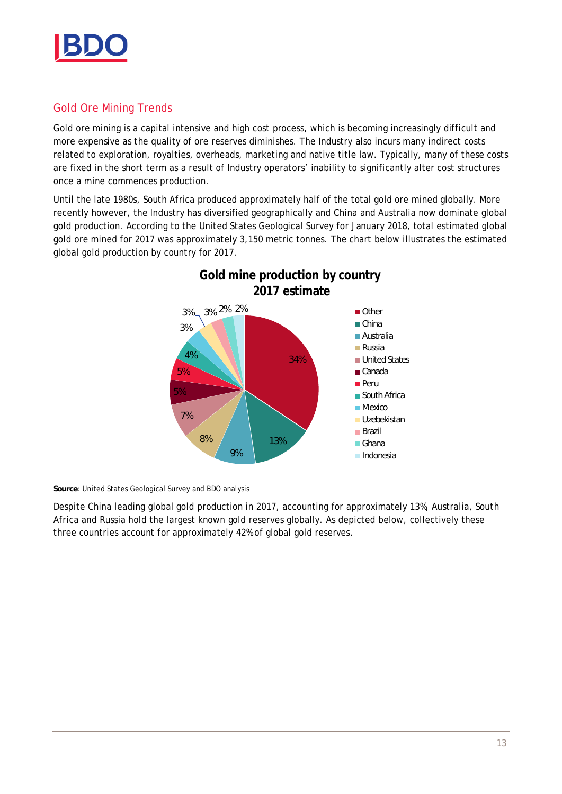

### Gold Ore Mining Trends

Gold ore mining is a capital intensive and high cost process, which is becoming increasingly difficult and more expensive as the quality of ore reserves diminishes. The Industry also incurs many indirect costs related to exploration, royalties, overheads, marketing and native title law. Typically, many of these costs are fixed in the short term as a result of Industry operators' inability to significantly alter cost structures once a mine commences production.

Until the late 1980s, South Africa produced approximately half of the total gold ore mined globally. More recently however, the Industry has diversified geographically and China and Australia now dominate global gold production. According to the United States Geological Survey for January 2018, total estimated global gold ore mined for 2017 was approximately 3,150 metric tonnes. The chart below illustrates the estimated global gold production by country for 2017.



**Source**: United States Geological Survey and BDO analysis

Despite China leading global gold production in 2017, accounting for approximately 13%, Australia, South Africa and Russia hold the largest known gold reserves globally. As depicted below, collectively these three countries account for approximately 42% of global gold reserves.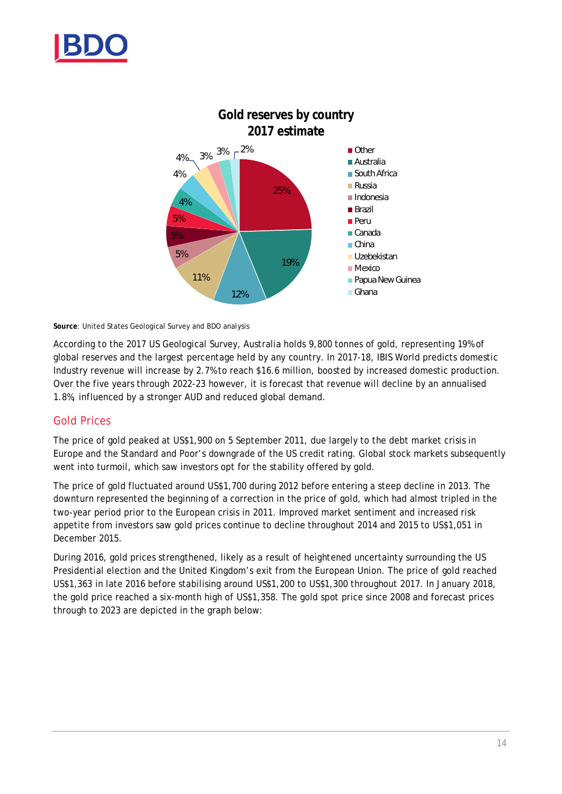



**Source**: United States Geological Survey and BDO analysis

According to the 2017 US Geological Survey, Australia holds 9,800 tonnes of gold, representing 19% of global reserves and the largest percentage held by any country. In 2017-18, IBIS World predicts domestic Industry revenue will increase by 2.7% to reach \$16.6 million, boosted by increased domestic production. Over the five years through 2022-23 however, it is forecast that revenue will decline by an annualised 1.8%, influenced by a stronger AUD and reduced global demand.

#### Gold Prices

The price of gold peaked at US\$1,900 on 5 September 2011, due largely to the debt market crisis in Europe and the Standard and Poor's downgrade of the US credit rating. Global stock markets subsequently went into turmoil, which saw investors opt for the stability offered by gold.

The price of gold fluctuated around US\$1,700 during 2012 before entering a steep decline in 2013. The downturn represented the beginning of a correction in the price of gold, which had almost tripled in the two-year period prior to the European crisis in 2011. Improved market sentiment and increased risk appetite from investors saw gold prices continue to decline throughout 2014 and 2015 to US\$1,051 in December 2015.

During 2016, gold prices strengthened, likely as a result of heightened uncertainty surrounding the US Presidential election and the United Kingdom's exit from the European Union. The price of gold reached US\$1,363 in late 2016 before stabilising around US\$1,200 to US\$1,300 throughout 2017. In January 2018, the gold price reached a six-month high of US\$1,358. The gold spot price since 2008 and forecast prices through to 2023 are depicted in the graph below: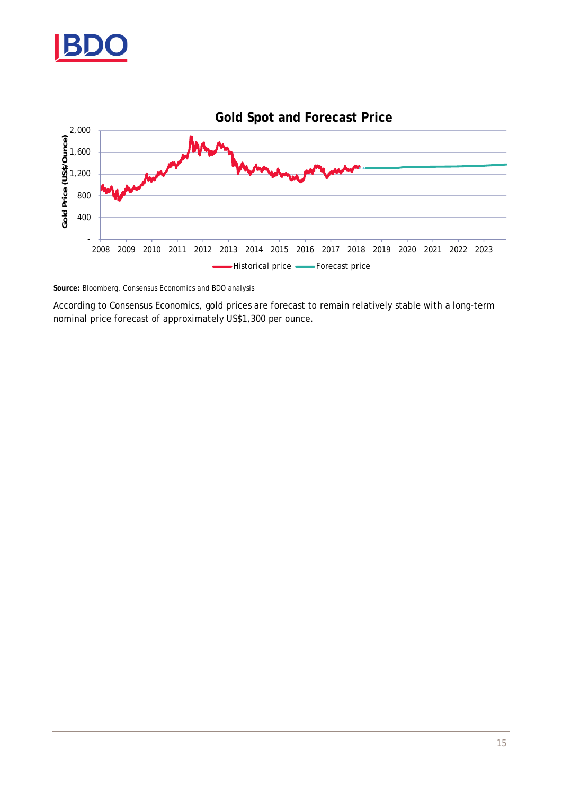



**Source:** Bloomberg, Consensus Economics and BDO analysis

According to Consensus Economics, gold prices are forecast to remain relatively stable with a long-term nominal price forecast of approximately US\$1,300 per ounce.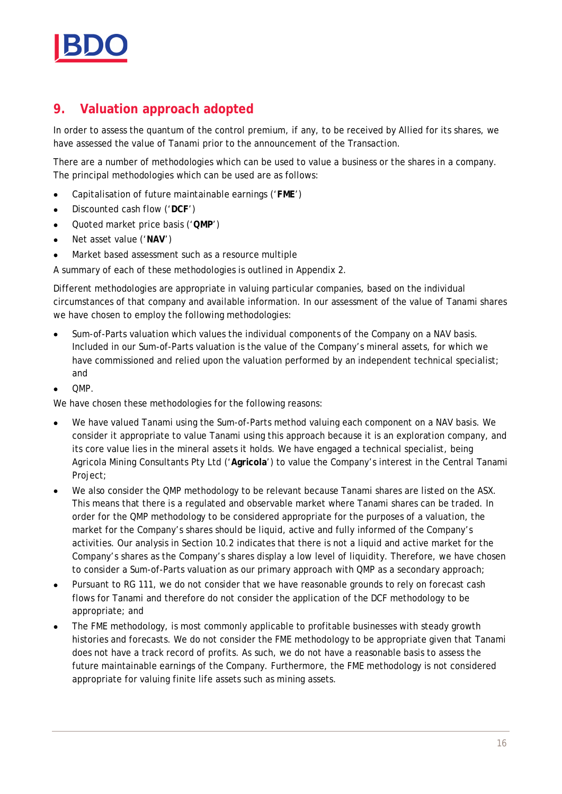

# **9. Valuation approach adopted**

In order to assess the quantum of the control premium, if any, to be received by Allied for its shares, we have assessed the value of Tanami prior to the announcement of the Transaction.

There are a number of methodologies which can be used to value a business or the shares in a company. The principal methodologies which can be used are as follows:

- · Capitalisation of future maintainable earnings ('**FME**')
- · Discounted cash flow ('**DCF**')
- · Quoted market price basis ('**QMP**')
- · Net asset value ('**NAV**')
- Market based assessment such as a resource multiple

A summary of each of these methodologies is outlined in Appendix 2.

Different methodologies are appropriate in valuing particular companies, based on the individual circumstances of that company and available information. In our assessment of the value of Tanami shares we have chosen to employ the following methodologies:

- · Sum-of-Parts valuation which values the individual components of the Company on a NAV basis. Included in our Sum-of-Parts valuation is the value of the Company's mineral assets, for which we have commissioned and relied upon the valuation performed by an independent technical specialist; and
- · QMP.

We have chosen these methodologies for the following reasons:

- · We have valued Tanami using the Sum-of-Parts method valuing each component on a NAV basis. We consider it appropriate to value Tanami using this approach because it is an exploration company, and its core value lies in the mineral assets it holds. We have engaged a technical specialist, being Agricola Mining Consultants Pty Ltd ('**Agricola**') to value the Company's interest in the Central Tanami Project;
- We also consider the QMP methodology to be relevant because Tanami shares are listed on the ASX. This means that there is a regulated and observable market where Tanami shares can be traded. In order for the QMP methodology to be considered appropriate for the purposes of a valuation, the market for the Company's shares should be liquid, active and fully informed of the Company's activities. Our analysis in Section 10.2 indicates that there is not a liquid and active market for the Company's shares as the Company's shares display a low level of liquidity. Therefore, we have chosen to consider a Sum-of-Parts valuation as our primary approach with QMP as a secondary approach;
- · Pursuant to RG 111, we do not consider that we have reasonable grounds to rely on forecast cash flows for Tanami and therefore do not consider the application of the DCF methodology to be appropriate; and
- The FME methodology, is most commonly applicable to profitable businesses with steady growth histories and forecasts. We do not consider the FME methodology to be appropriate given that Tanami does not have a track record of profits. As such, we do not have a reasonable basis to assess the future maintainable earnings of the Company. Furthermore, the FME methodology is not considered appropriate for valuing finite life assets such as mining assets.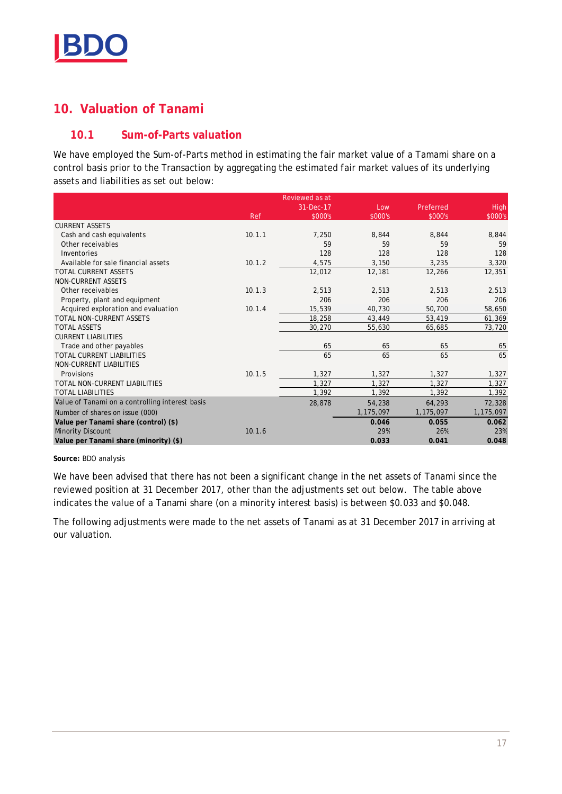

# **10. Valuation of Tanami**

# **10.1 Sum-of-Parts valuation**

We have employed the Sum-of-Parts method in estimating the fair market value of a Tamami share on a control basis prior to the Transaction by aggregating the estimated fair market values of its underlying assets and liabilities as set out below:

|                                                 |        | Reviewed as at |           |           |           |
|-------------------------------------------------|--------|----------------|-----------|-----------|-----------|
|                                                 |        | 31-Dec-17      | Low       | Preferred | High      |
|                                                 | Ref    | \$000's        | \$000's   | \$000's   | \$000's   |
| <b>CURRENT ASSETS</b>                           |        |                |           |           |           |
| Cash and cash equivalents                       | 10.1.1 | 7,250          | 8,844     | 8,844     | 8,844     |
| Other receivables                               |        | 59             | 59        | 59        | 59        |
| Inventories                                     |        | 128            | 128       | 128       | 128       |
| Available for sale financial assets             | 10.1.2 | 4,575          | 3,150     | 3,235     | 3,320     |
| TOTAL CURRENT ASSETS                            |        | 12,012         | 12,181    | 12,266    | 12,351    |
| NON-CURRENT ASSETS                              |        |                |           |           |           |
| Other receivables                               | 10.1.3 | 2,513          | 2,513     | 2,513     | 2,513     |
| Property, plant and equipment                   |        | 206            | 206       | 206       | 206       |
| Acquired exploration and evaluation             | 10.1.4 | 15,539         | 40,730    | 50,700    | 58,650    |
| TOTAL NON-CURRENT ASSETS                        |        | 18,258         | 43,449    | 53,419    | 61,369    |
| <b>TOTAL ASSETS</b>                             |        | 30,270         | 55,630    | 65,685    | 73,720    |
| <b>CURRENT LIABILITIES</b>                      |        |                |           |           |           |
| Trade and other payables                        |        | 65             | 65        | 65        | 65        |
| TOTAL CURRENT LIABILITIES                       |        | 65             | 65        | 65        | 65        |
| NON-CURRENT LIABILITIES                         |        |                |           |           |           |
| Provisions                                      | 10.1.5 | 1,327          | 1,327     | 1,327     | 1,327     |
| TOTAL NON-CURRENT LIABILITIES                   |        | 1,327          | 1,327     | 1.327     | 1,327     |
| <b>TOTAL LIABILITIES</b>                        |        | 1,392          | 1,392     | 1,392     | 1,392     |
| Value of Tanami on a controlling interest basis |        | 28,878         | 54,238    | 64,293    | 72,328    |
| Number of shares on issue (000)                 |        |                | 1,175,097 | 1,175,097 | 1,175,097 |
| Value per Tanami share (control) (\$)           |        |                | 0.046     | 0.055     | 0.062     |
| <b>Minority Discount</b>                        | 10.1.6 |                | 29%       | 26%       | 23%       |
| Value per Tanami share (minority) (\$)          |        |                | 0.033     | 0.041     | 0.048     |

**Source:** BDO analysis

We have been advised that there has not been a significant change in the net assets of Tanami since the reviewed position at 31 December 2017, other than the adjustments set out below. The table above indicates the value of a Tanami share (on a minority interest basis) is between \$0.033 and \$0.048.

The following adjustments were made to the net assets of Tanami as at 31 December 2017 in arriving at our valuation.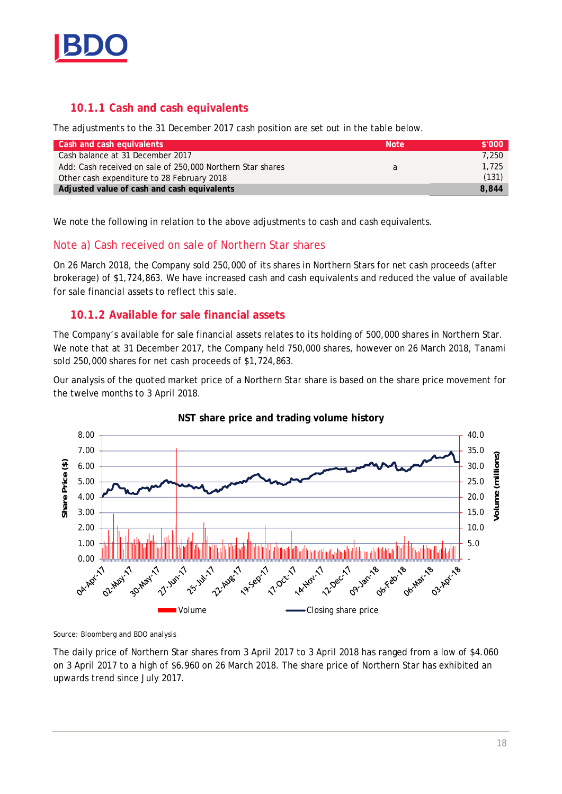

### **10.1.1 Cash and cash equivalents**

The adjustments to the 31 December 2017 cash position are set out in the table below.

| Cash and cash equivalents                                  | <b>Note</b> | \$'000' |
|------------------------------------------------------------|-------------|---------|
| Cash balance at 31 December 2017                           |             | 7,250   |
| Add: Cash received on sale of 250,000 Northern Star shares | a           | 1,725   |
| Other cash expenditure to 28 February 2018                 |             | (131)   |
| Adjusted value of cash and cash equivalents                |             | 8.844   |

We note the following in relation to the above adjustments to cash and cash equivalents.

#### Note a) Cash received on sale of Northern Star shares

On 26 March 2018, the Company sold 250,000 of its shares in Northern Stars for net cash proceeds (after brokerage) of \$1,724,863. We have increased cash and cash equivalents and reduced the value of available for sale financial assets to reflect this sale.

#### **10.1.2 Available for sale financial assets**

The Company's available for sale financial assets relates to its holding of 500,000 shares in Northern Star. We note that at 31 December 2017, the Company held 750,000 shares, however on 26 March 2018, Tanami sold 250,000 shares for net cash proceeds of \$1,724,863.

Our analysis of the quoted market price of a Northern Star share is based on the share price movement for the twelve months to 3 April 2018.





Source: Bloomberg and BDO analysis

The daily price of Northern Star shares from 3 April 2017 to 3 April 2018 has ranged from a low of \$4.060 on 3 April 2017 to a high of \$6.960 on 26 March 2018. The share price of Northern Star has exhibited an upwards trend since July 2017.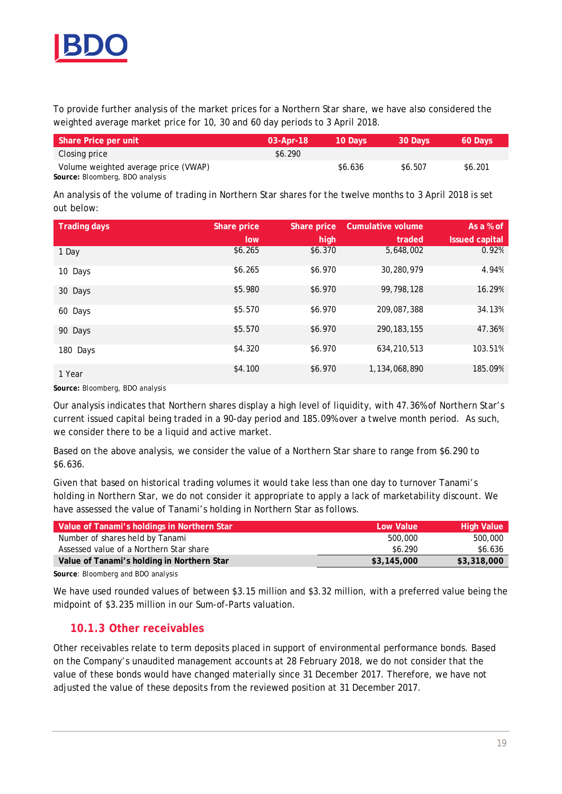

To provide further analysis of the market prices for a Northern Star share, we have also considered the weighted average market price for 10, 30 and 60 day periods to 3 April 2018.

| Share Price per unit                 | $03$ -Apr-18 | 10 Davs' | 30 Days | 60 Days |
|--------------------------------------|--------------|----------|---------|---------|
| Closing price                        | \$6.290      |          |         |         |
| Volume weighted average price (VWAP) |              | \$6.636  | \$6.507 | \$6.201 |
| Cource Pleamberg PDO analysis        |              |          |         |         |

**Source:** Bloomberg, BDO analysis

An analysis of the volume of trading in Northern Star shares for the twelve months to 3 April 2018 is set out below:

| Trading days | Share price | Share price | Cumulative volume | As a % of             |
|--------------|-------------|-------------|-------------------|-----------------------|
|              | low         | high        | traded            | <b>Issued capital</b> |
| 1 Day        | \$6.265     | \$6.370     | 5,648,002         | 0.92%                 |
| 10 Days      | \$6.265     | \$6.970     | 30,280,979        | 4.94%                 |
| 30 Days      | \$5.980     | \$6.970     | 99.798.128        | 16.29%                |
| 60 Days      | \$5.570     | \$6.970     | 209,087,388       | 34.13%                |
| 90 Days      | \$5.570     | \$6.970     | 290.183.155       | 47.36%                |
| 180 Days     | \$4.320     | \$6.970     | 634,210,513       | 103.51%               |
| 1 Year       | \$4.100     | \$6.970     | 1,134,068,890     | 185.09%               |

**Source:** Bloomberg, BDO analysis

Our analysis indicates that Northern shares display a high level of liquidity, with 47.36% of Northern Star's current issued capital being traded in a 90-day period and 185.09% over a twelve month period. As such, we consider there to be a liquid and active market.

Based on the above analysis, we consider the value of a Northern Star share to range from \$6.290 to \$6.636.

Given that based on historical trading volumes it would take less than one day to turnover Tanami's holding in Northern Star, we do not consider it appropriate to apply a lack of marketability discount. We have assessed the value of Tanami's holding in Northern Star as follows.

| Value of Tanami's holdings in Northern Star | Low Value   | <b>High Value</b> |
|---------------------------------------------|-------------|-------------------|
| Number of shares held by Tanami             | 500.000     | 500,000           |
| Assessed value of a Northern Star share     | \$6.290     | \$6.636           |
| Value of Tanami's holding in Northern Star  | \$3,145,000 | \$3,318,000       |
|                                             |             |                   |

**Source**: Bloomberg and BDO analysis

We have used rounded values of between \$3.15 million and \$3.32 million, with a preferred value being the midpoint of \$3.235 million in our Sum-of-Parts valuation.

#### **10.1.3 Other receivables**

Other receivables relate to term deposits placed in support of environmental performance bonds. Based on the Company's unaudited management accounts at 28 February 2018, we do not consider that the value of these bonds would have changed materially since 31 December 2017. Therefore, we have not adjusted the value of these deposits from the reviewed position at 31 December 2017.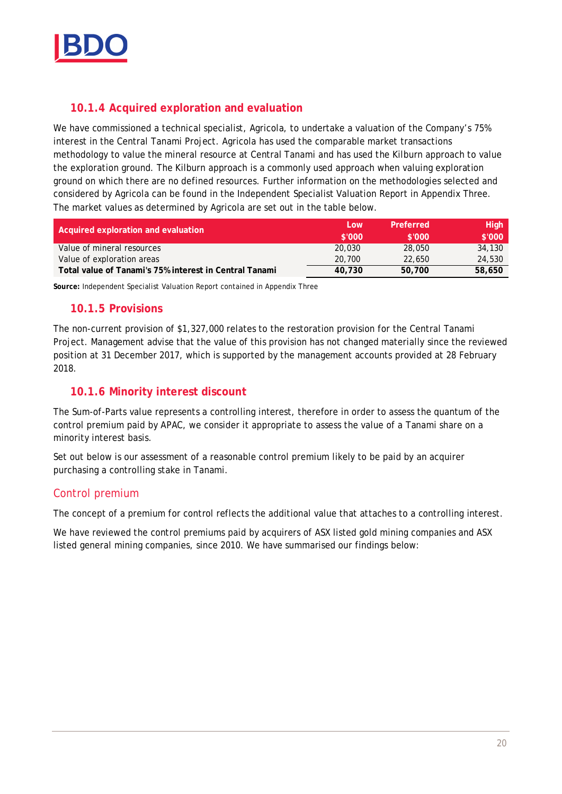

#### **10.1.4 Acquired exploration and evaluation**

We have commissioned a technical specialist, Agricola, to undertake a valuation of the Company's 75% interest in the Central Tanami Project. Agricola has used the comparable market transactions methodology to value the mineral resource at Central Tanami and has used the Kilburn approach to value the exploration ground. The Kilburn approach is a commonly used approach when valuing exploration ground on which there are no defined resources. Further information on the methodologies selected and considered by Agricola can be found in the Independent Specialist Valuation Report in Appendix Three. The market values as determined by Agricola are set out in the table below.

| Acquired exploration and evaluation                    | LOW    | Preferred | High   |
|--------------------------------------------------------|--------|-----------|--------|
|                                                        | \$'000 | \$'000    | \$'000 |
| Value of mineral resources                             | 20,030 | 28,050    | 34,130 |
| Value of exploration areas                             | 20.700 | 22,650    | 24,530 |
| Total value of Tanami's 75% interest in Central Tanami | 40,730 | 50,700    | 58,650 |

**Source:** Independent Specialist Valuation Report contained in Appendix Three

#### **10.1.5 Provisions**

The non-current provision of \$1,327,000 relates to the restoration provision for the Central Tanami Project. Management advise that the value of this provision has not changed materially since the reviewed position at 31 December 2017, which is supported by the management accounts provided at 28 February 2018.

#### **10.1.6 Minority interest discount**

The Sum-of-Parts value represents a controlling interest, therefore in order to assess the quantum of the control premium paid by APAC, we consider it appropriate to assess the value of a Tanami share on a minority interest basis.

Set out below is our assessment of a reasonable control premium likely to be paid by an acquirer purchasing a controlling stake in Tanami.

#### Control premium

The concept of a premium for control reflects the additional value that attaches to a controlling interest.

We have reviewed the control premiums paid by acquirers of ASX listed gold mining companies and ASX listed general mining companies, since 2010. We have summarised our findings below: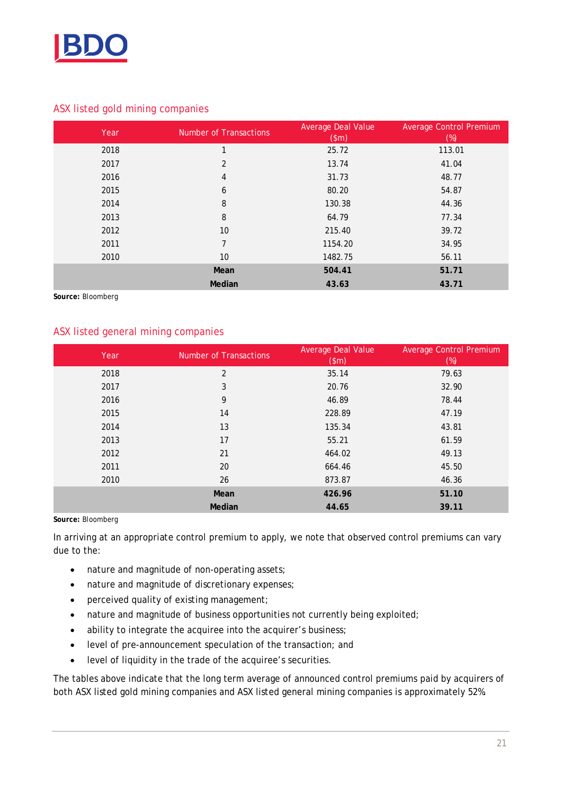

#### ASX listed gold mining companies

| Year | Number of Transactions | Average Deal Value<br>$(\text{m})$ | <b>Average Control Premium</b><br>(%) |
|------|------------------------|------------------------------------|---------------------------------------|
| 2018 | 1                      | 25.72                              | 113.01                                |
| 2017 | 2                      | 13.74                              | 41.04                                 |
| 2016 | 4                      | 31.73                              | 48.77                                 |
| 2015 | 6                      | 80.20                              | 54.87                                 |
| 2014 | 8                      | 130.38                             | 44.36                                 |
| 2013 | 8                      | 64.79                              | 77.34                                 |
| 2012 | 10                     | 215.40                             | 39.72                                 |
| 2011 | $\overline{7}$         | 1154.20                            | 34.95                                 |
| 2010 | 10                     | 1482.75                            | 56.11                                 |
|      | Mean                   | 504.41                             | 51.71                                 |
|      | Median                 | 43.63                              | 43.71                                 |

**Source:** Bloomberg

#### ASX listed general mining companies

| Year | Number of Transactions | Average Deal Value<br>$(\text{sm})$ | <b>Average Control Premium</b><br>(%) |
|------|------------------------|-------------------------------------|---------------------------------------|
| 2018 | $\overline{2}$         | 35.14                               | 79.63                                 |
| 2017 | 3                      | 20.76                               | 32.90                                 |
| 2016 | 9                      | 46.89                               | 78.44                                 |
| 2015 | 14                     | 228.89                              | 47.19                                 |
| 2014 | 13                     | 135.34                              | 43.81                                 |
| 2013 | 17                     | 55.21                               | 61.59                                 |
| 2012 | 21                     | 464.02                              | 49.13                                 |
| 2011 | 20                     | 664.46                              | 45.50                                 |
| 2010 | 26                     | 873.87                              | 46.36                                 |
|      | Mean                   | 426.96                              | 51.10                                 |
|      | Median                 | 44.65                               | 39.11                                 |

**Source:** Bloomberg

In arriving at an appropriate control premium to apply, we note that observed control premiums can vary due to the:

- · nature and magnitude of non-operating assets;
- · nature and magnitude of discretionary expenses;
- · perceived quality of existing management;
- nature and magnitude of business opportunities not currently being exploited;
- · ability to integrate the acquiree into the acquirer's business;
- · level of pre-announcement speculation of the transaction; and
- · level of liquidity in the trade of the acquiree's securities.

The tables above indicate that the long term average of announced control premiums paid by acquirers of both ASX listed gold mining companies and ASX listed general mining companies is approximately 52%.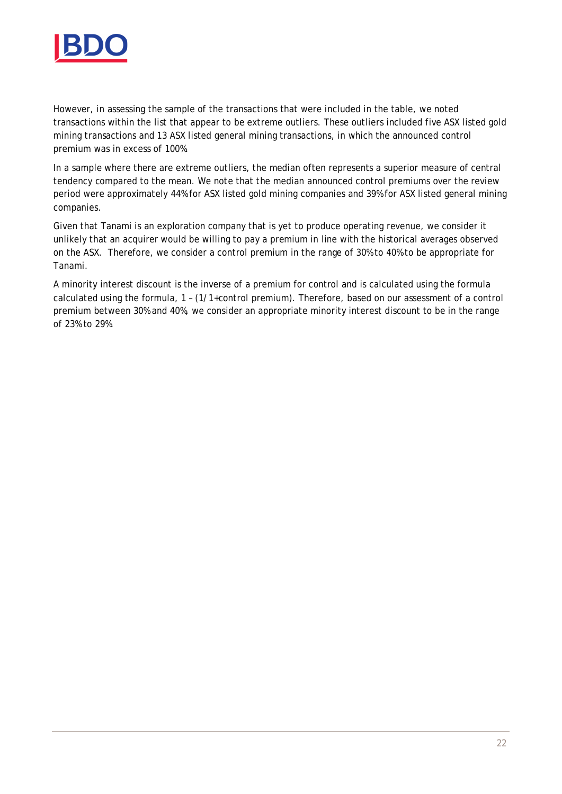

However, in assessing the sample of the transactions that were included in the table, we noted transactions within the list that appear to be extreme outliers. These outliers included five ASX listed gold mining transactions and 13 ASX listed general mining transactions, in which the announced control premium was in excess of 100%.

In a sample where there are extreme outliers, the median often represents a superior measure of central tendency compared to the mean. We note that the median announced control premiums over the review period were approximately 44% for ASX listed gold mining companies and 39% for ASX listed general mining companies.

Given that Tanami is an exploration company that is yet to produce operating revenue, we consider it unlikely that an acquirer would be willing to pay a premium in line with the historical averages observed on the ASX. Therefore, we consider a control premium in the range of 30% to 40% to be appropriate for Tanami.

A minority interest discount is the inverse of a premium for control and is calculated using the formula calculated using the formula, 1 – (1/1+control premium). Therefore, based on our assessment of a control premium between 30% and 40%, we consider an appropriate minority interest discount to be in the range of 23% to 29%.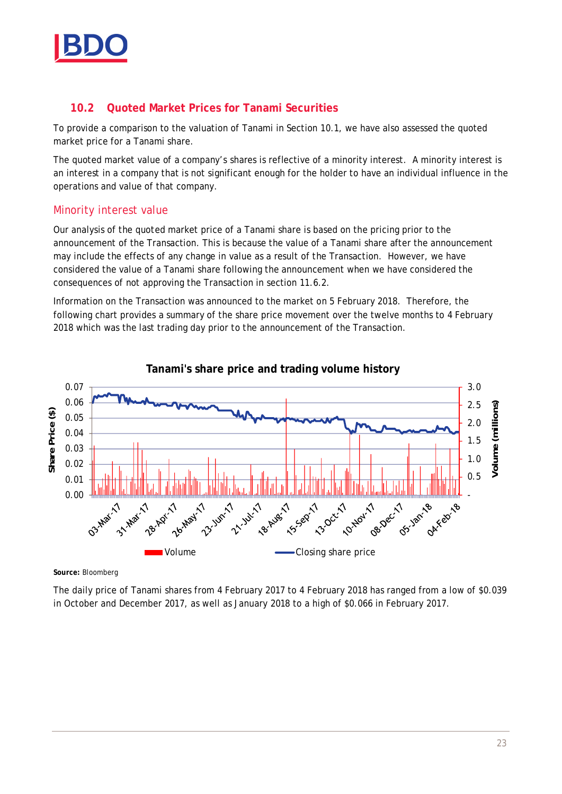

# **10.2 Quoted Market Prices for Tanami Securities**

To provide a comparison to the valuation of Tanami in Section 10.1, we have also assessed the quoted market price for a Tanami share.

The quoted market value of a company's shares is reflective of a minority interest. A minority interest is an interest in a company that is not significant enough for the holder to have an individual influence in the operations and value of that company.

#### Minority interest value

Our analysis of the quoted market price of a Tanami share is based on the pricing prior to the announcement of the Transaction. This is because the value of a Tanami share after the announcement may include the effects of any change in value as a result of the Transaction. However, we have considered the value of a Tanami share following the announcement when we have considered the consequences of not approving the Transaction in section 11.6.2.

Information on the Transaction was announced to the market on 5 February 2018. Therefore, the following chart provides a summary of the share price movement over the twelve months to 4 February 2018 which was the last trading day prior to the announcement of the Transaction.



**Source:** Bloomberg

The daily price of Tanami shares from 4 February 2017 to 4 February 2018 has ranged from a low of \$0.039 in October and December 2017, as well as January 2018 to a high of \$0.066 in February 2017.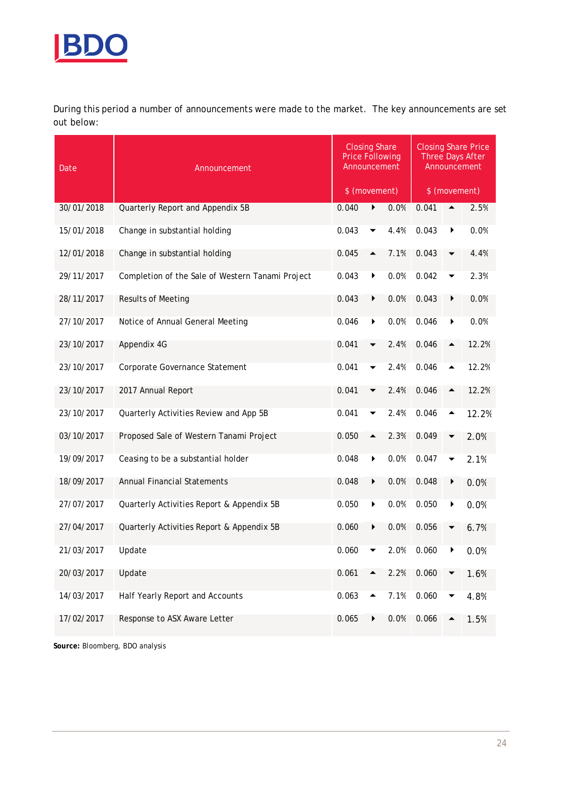

During this period a number of announcements were made to the market. The key announcements are set out below:

| Date       | Announcement                                     |               | <b>Closing Share</b><br><b>Price Following</b><br>Announcement |      |       |               | <b>Closing Share Price</b><br>Three Days After<br>Announcement |
|------------|--------------------------------------------------|---------------|----------------------------------------------------------------|------|-------|---------------|----------------------------------------------------------------|
|            |                                                  | \$ (movement) |                                                                |      |       | \$ (movement) |                                                                |
| 30/01/2018 | Quarterly Report and Appendix 5B                 | 0.040         | ▶                                                              | 0.0% | 0.041 |               | 2.5%                                                           |
| 15/01/2018 | Change in substantial holding                    | 0.043         |                                                                | 4.4% | 0.043 |               | 0.0%                                                           |
| 12/01/2018 | Change in substantial holding                    | 0.045         |                                                                | 7.1% | 0.043 |               | 4.4%                                                           |
| 29/11/2017 | Completion of the Sale of Western Tanami Project | 0.043         | ▶                                                              | 0.0% | 0.042 |               | 2.3%                                                           |
| 28/11/2017 | <b>Results of Meeting</b>                        | 0.043         | ▶                                                              | 0.0% | 0.043 |               | 0.0%                                                           |
| 27/10/2017 | Notice of Annual General Meeting                 | 0.046         | ▶                                                              | 0.0% | 0.046 | ▶             | 0.0%                                                           |
| 23/10/2017 | Appendix 4G                                      | 0.041         |                                                                | 2.4% | 0.046 |               | 12.2%                                                          |
| 23/10/2017 | Corporate Governance Statement                   | 0.041         |                                                                | 2.4% | 0.046 |               | 12.2%                                                          |
| 23/10/2017 | 2017 Annual Report                               | 0.041         |                                                                | 2.4% | 0.046 |               | 12.2%                                                          |
| 23/10/2017 | Quarterly Activities Review and App 5B           | 0.041         |                                                                | 2.4% | 0.046 |               | 12.2%                                                          |
| 03/10/2017 | Proposed Sale of Western Tanami Project          | 0.050         | ▲                                                              | 2.3% | 0.049 |               | 2.0%                                                           |
| 19/09/2017 | Ceasing to be a substantial holder               | 0.048         | ▶                                                              | 0.0% | 0.047 |               | 2.1%                                                           |
| 18/09/2017 | <b>Annual Financial Statements</b>               | 0.048         | ▶                                                              | 0.0% | 0.048 |               | 0.0%                                                           |
| 27/07/2017 | Quarterly Activities Report & Appendix 5B        | 0.050         | ▶                                                              | 0.0% | 0.050 |               | 0.0%                                                           |
| 27/04/2017 | Quarterly Activities Report & Appendix 5B        | 0.060         | ▶                                                              | 0.0% | 0.056 |               | 6.7%                                                           |
| 21/03/2017 | Update                                           | 0.060         |                                                                | 2.0% | 0.060 |               | 0.0%                                                           |
| 20/03/2017 | Update                                           | 0.061         |                                                                | 2.2% | 0.060 |               | 1.6%                                                           |
| 14/03/2017 | Half Yearly Report and Accounts                  | 0.063         |                                                                | 7.1% | 0.060 |               | 4.8%                                                           |
| 17/02/2017 | Response to ASX Aware Letter                     | 0.065         |                                                                | 0.0% | 0.066 |               | 1.5%                                                           |

**Source:** Bloomberg, BDO analysis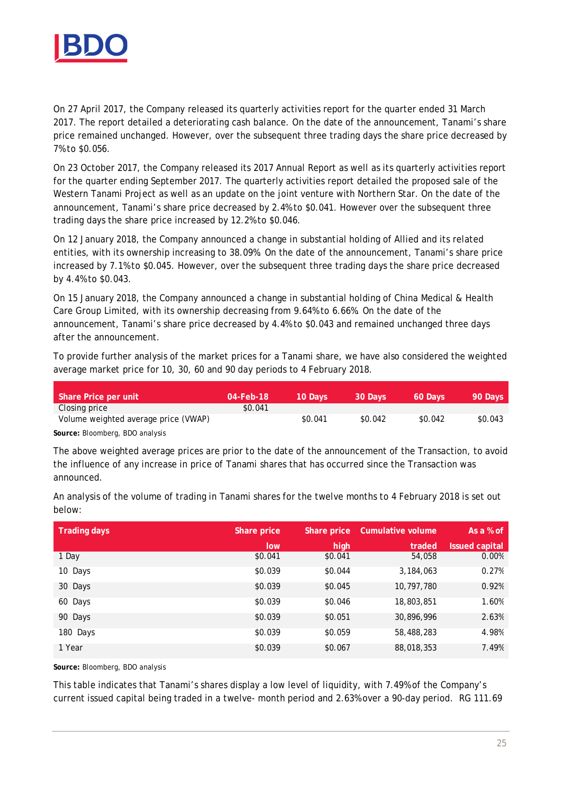

On 27 April 2017, the Company released its quarterly activities report for the quarter ended 31 March 2017. The report detailed a deteriorating cash balance. On the date of the announcement, Tanami's share price remained unchanged. However, over the subsequent three trading days the share price decreased by 7% to \$0.056.

On 23 October 2017, the Company released its 2017 Annual Report as well as its quarterly activities report for the quarter ending September 2017. The quarterly activities report detailed the proposed sale of the Western Tanami Project as well as an update on the joint venture with Northern Star. On the date of the announcement, Tanami's share price decreased by 2.4% to \$0.041. However over the subsequent three trading days the share price increased by 12.2% to \$0.046.

On 12 January 2018, the Company announced a change in substantial holding of Allied and its related entities, with its ownership increasing to 38.09%. On the date of the announcement, Tanami's share price increased by 7.1% to \$0.045. However, over the subsequent three trading days the share price decreased by 4.4% to \$0.043.

On 15 January 2018, the Company announced a change in substantial holding of China Medical & Health Care Group Limited, with its ownership decreasing from 9.64% to 6.66%. On the date of the announcement, Tanami's share price decreased by 4.4% to \$0.043 and remained unchanged three days after the announcement.

To provide further analysis of the market prices for a Tanami share, we have also considered the weighted average market price for 10, 30, 60 and 90 day periods to 4 February 2018.

| Share Price per unit                 | 04-Feb-18' | 10 Davs' | 30 Days | 60 Days | 90 Days |
|--------------------------------------|------------|----------|---------|---------|---------|
| Closing price                        | \$0.041    |          |         |         |         |
| Volume weighted average price (VWAP) |            | \$0.041  | \$0.042 | \$0.042 | \$0.043 |
| Source: Bloomberg, BDO analysis      |            |          |         |         |         |

**Source:** Bloomberg, BDO analysis

The above weighted average prices are prior to the date of the announcement of the Transaction, to avoid the influence of any increase in price of Tanami shares that has occurred since the Transaction was announced.

An analysis of the volume of trading in Tanami shares for the twelve months to 4 February 2018 is set out below:

| <b>Trading days</b> | Share price | Share price | Cumulative volume | As a % of      |
|---------------------|-------------|-------------|-------------------|----------------|
|                     | low         | high        | traded            | Issued capital |
| 1 Day               | \$0.041     | \$0.041     | 54,058            | 0.00%          |
| 10 Days             | \$0.039     | \$0.044     | 3,184,063         | 0.27%          |
| 30 Days             | \$0.039     | \$0.045     | 10,797,780        | 0.92%          |
| 60 Days             | \$0.039     | \$0.046     | 18,803,851        | 1.60%          |
| 90 Days             | \$0.039     | \$0.051     | 30,896,996        | 2.63%          |
| 180 Days            | \$0.039     | \$0.059     | 58,488,283        | 4.98%          |
| 1 Year              | \$0.039     | \$0.067     | 88,018,353        | 7.49%          |

**Source:** Bloomberg, BDO analysis

This table indicates that Tanami's shares display a low level of liquidity, with 7.49% of the Company's current issued capital being traded in a twelve- month period and 2.63% over a 90-day period. RG 111.69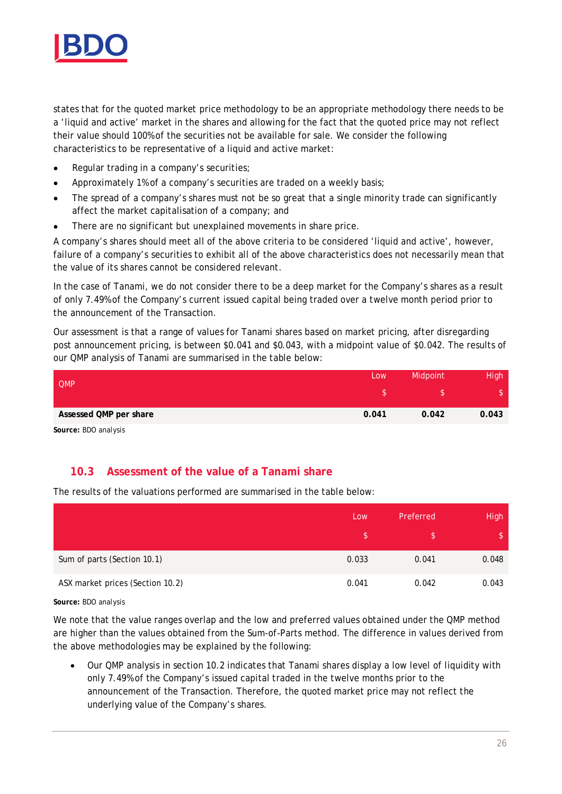

states that for the quoted market price methodology to be an appropriate methodology there needs to be a 'liquid and active' market in the shares and allowing for the fact that the quoted price may not reflect their value should 100% of the securities not be available for sale. We consider the following characteristics to be representative of a liquid and active market:

- · Regular trading in a company's securities;
- · Approximately 1% of a company's securities are traded on a weekly basis;
- The spread of a company's shares must not be so great that a single minority trade can significantly affect the market capitalisation of a company; and
- There are no significant but unexplained movements in share price.

A company's shares should meet all of the above criteria to be considered 'liquid and active', however, failure of a company's securities to exhibit all of the above characteristics does not necessarily mean that the value of its shares cannot be considered relevant.

In the case of Tanami, we do not consider there to be a deep market for the Company's shares as a result of only 7.49% of the Company's current issued capital being traded over a twelve month period prior to the announcement of the Transaction.

Our assessment is that a range of values for Tanami shares based on market pricing, after disregarding post announcement pricing, is between \$0.041 and \$0.043, with a midpoint value of \$0.042. The results of our QMP analysis of Tanami are summarised in the table below:

| <b>QMP</b>             | Low   | Midpoint | High  |
|------------------------|-------|----------|-------|
|                        |       |          |       |
| Assessed QMP per share | 0.041 | 0.042    | 0.043 |

**Source:** BDO analysis

#### **10.3 Assessment of the value of a Tanami share**

The results of the valuations performed are summarised in the table below:

|                                  | <b>LOW</b> | Preferred | High  |
|----------------------------------|------------|-----------|-------|
|                                  |            |           |       |
| Sum of parts (Section 10.1)      | 0.033      | 0.041     | 0.048 |
| ASX market prices (Section 10.2) | 0.041      | 0.042     | 0.043 |

#### **Source:** BDO analysis

We note that the value ranges overlap and the low and preferred values obtained under the QMP method are higher than the values obtained from the Sum-of-Parts method. The difference in values derived from the above methodologies may be explained by the following:

· Our QMP analysis in section 10.2 indicates that Tanami shares display a low level of liquidity with only 7.49% of the Company's issued capital traded in the twelve months prior to the announcement of the Transaction. Therefore, the quoted market price may not reflect the underlying value of the Company's shares.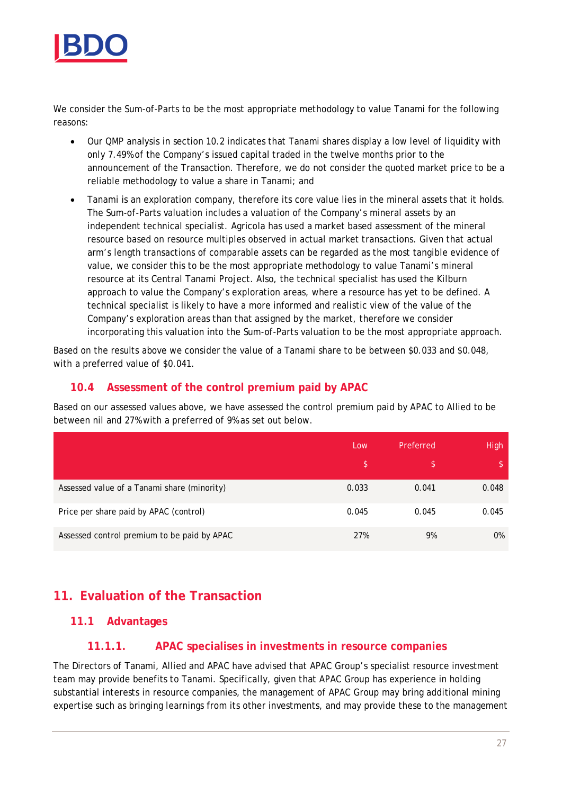

We consider the Sum-of-Parts to be the most appropriate methodology to value Tanami for the following reasons:

- · Our QMP analysis in section 10.2 indicates that Tanami shares display a low level of liquidity with only 7.49% of the Company's issued capital traded in the twelve months prior to the announcement of the Transaction. Therefore, we do not consider the quoted market price to be a reliable methodology to value a share in Tanami; and
- · Tanami is an exploration company, therefore its core value lies in the mineral assets that it holds. The Sum-of-Parts valuation includes a valuation of the Company's mineral assets by an independent technical specialist. Agricola has used a market based assessment of the mineral resource based on resource multiples observed in actual market transactions. Given that actual arm's length transactions of comparable assets can be regarded as the most tangible evidence of value, we consider this to be the most appropriate methodology to value Tanami's mineral resource at its Central Tanami Project. Also, the technical specialist has used the Kilburn approach to value the Company's exploration areas, where a resource has yet to be defined. A technical specialist is likely to have a more informed and realistic view of the value of the Company's exploration areas than that assigned by the market, therefore we consider incorporating this valuation into the Sum-of-Parts valuation to be the most appropriate approach.

Based on the results above we consider the value of a Tanami share to be between \$0.033 and \$0.048, with a preferred value of \$0.041.

#### **10.4 Assessment of the control premium paid by APAC**

Based on our assessed values above, we have assessed the control premium paid by APAC to Allied to be between nil and 27% with a preferred of 9% as set out below.

|                                             | Low   | Preferred | <b>High</b> |
|---------------------------------------------|-------|-----------|-------------|
|                                             | ß.    |           | \$.         |
| Assessed value of a Tanami share (minority) | 0.033 | 0.041     | 0.048       |
| Price per share paid by APAC (control)      | 0.045 | 0.045     | 0.045       |
| Assessed control premium to be paid by APAC | 27%   | 9%        | $0\%$       |

# **11. Evaluation of the Transaction**

#### **11.1 Advantages**

#### **11.1.1. APAC specialises in investments in resource companies**

The Directors of Tanami, Allied and APAC have advised that APAC Group's specialist resource investment team may provide benefits to Tanami. Specifically, given that APAC Group has experience in holding substantial interests in resource companies, the management of APAC Group may bring additional mining expertise such as bringing learnings from its other investments, and may provide these to the management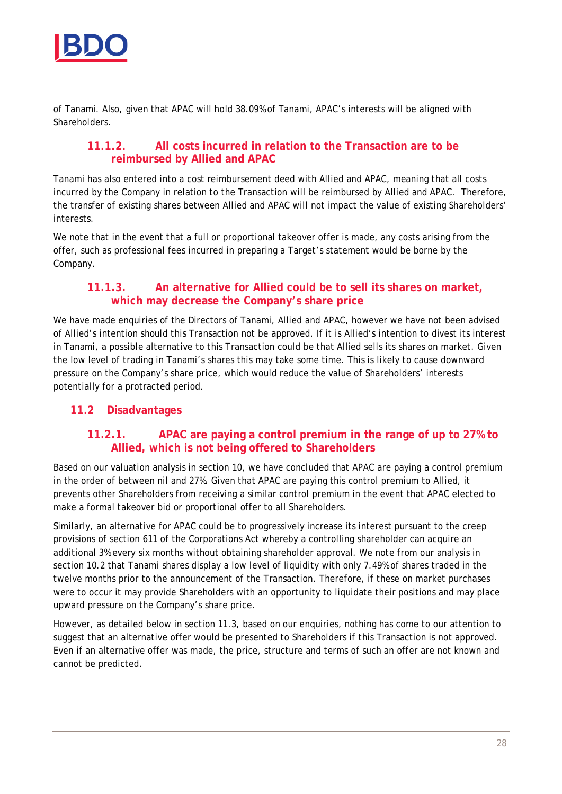

of Tanami. Also, given that APAC will hold 38.09% of Tanami, APAC's interests will be aligned with **Shareholders** 

#### **11.1.2. All costs incurred in relation to the Transaction are to be reimbursed by Allied and APAC**

Tanami has also entered into a cost reimbursement deed with Allied and APAC, meaning that all costs incurred by the Company in relation to the Transaction will be reimbursed by Allied and APAC. Therefore, the transfer of existing shares between Allied and APAC will not impact the value of existing Shareholders' interests.

We note that in the event that a full or proportional takeover offer is made, any costs arising from the offer, such as professional fees incurred in preparing a Target's statement would be borne by the Company.

#### **11.1.3. An alternative for Allied could be to sell its shares on market, which may decrease the Company's share price**

We have made enquiries of the Directors of Tanami, Allied and APAC, however we have not been advised of Allied's intention should this Transaction not be approved. If it is Allied's intention to divest its interest in Tanami, a possible alternative to this Transaction could be that Allied sells its shares on market. Given the low level of trading in Tanami's shares this may take some time. This is likely to cause downward pressure on the Company's share price, which would reduce the value of Shareholders' interests potentially for a protracted period.

#### **11.2 Disadvantages**

#### **11.2.1. APAC are paying a control premium in the range of up to 27% to Allied, which is not being offered to Shareholders**

Based on our valuation analysis in section 10, we have concluded that APAC are paying a control premium in the order of between nil and 27%. Given that APAC are paying this control premium to Allied, it prevents other Shareholders from receiving a similar control premium in the event that APAC elected to make a formal takeover bid or proportional offer to all Shareholders.

Similarly, an alternative for APAC could be to progressively increase its interest pursuant to the creep provisions of section 611 of the Corporations Act whereby a controlling shareholder can acquire an additional 3% every six months without obtaining shareholder approval. We note from our analysis in section 10.2 that Tanami shares display a low level of liquidity with only 7.49% of shares traded in the twelve months prior to the announcement of the Transaction. Therefore, if these on market purchases were to occur it may provide Shareholders with an opportunity to liquidate their positions and may place upward pressure on the Company's share price.

However, as detailed below in section 11.3, based on our enquiries, nothing has come to our attention to suggest that an alternative offer would be presented to Shareholders if this Transaction is not approved. Even if an alternative offer was made, the price, structure and terms of such an offer are not known and cannot be predicted.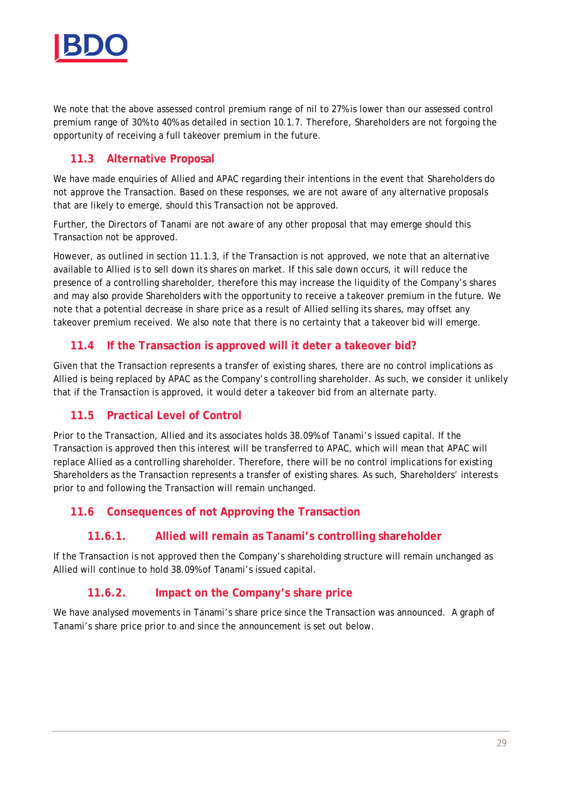

We note that the above assessed control premium range of nil to 27% is lower than our assessed control premium range of 30% to 40% as detailed in section 10.1.7. Therefore, Shareholders are not forgoing the opportunity of receiving a full takeover premium in the future.

### **11.3 Alternative Proposal**

We have made enquiries of Allied and APAC regarding their intentions in the event that Shareholders do not approve the Transaction. Based on these responses, we are not aware of any alternative proposals that are likely to emerge, should this Transaction not be approved.

Further, the Directors of Tanami are not aware of any other proposal that may emerge should this Transaction not be approved.

However, as outlined in section 11.1.3, if the Transaction is not approved, we note that an alternative available to Allied is to sell down its shares on market. If this sale down occurs, it will reduce the presence of a controlling shareholder, therefore this may increase the liquidity of the Company's shares and may also provide Shareholders with the opportunity to receive a takeover premium in the future. We note that a potential decrease in share price as a result of Allied selling its shares, may offset any takeover premium received. We also note that there is no certainty that a takeover bid will emerge.

#### **11.4 If the Transaction is approved will it deter a takeover bid?**

Given that the Transaction represents a transfer of existing shares, there are no control implications as Allied is being replaced by APAC as the Company's controlling shareholder. As such, we consider it unlikely that if the Transaction is approved, it would deter a takeover bid from an alternate party.

#### **11.5 Practical Level of Control**

Prior to the Transaction, Allied and its associates holds 38.09% of Tanami's issued capital. If the Transaction is approved then this interest will be transferred to APAC, which will mean that APAC will replace Allied as a controlling shareholder. Therefore, there will be no control implications for existing Shareholders as the Transaction represents a transfer of existing shares. As such, Shareholders' interests prior to and following the Transaction will remain unchanged.

#### **11.6 Consequences of not Approving the Transaction**

#### **11.6.1. Allied will remain as Tanami's controlling shareholder**

If the Transaction is not approved then the Company's shareholding structure will remain unchanged as Allied will continue to hold 38.09% of Tanami's issued capital.

#### **11.6.2. Impact on the Company's share price**

We have analysed movements in Tanami's share price since the Transaction was announced. A graph of Tanami's share price prior to and since the announcement is set out below.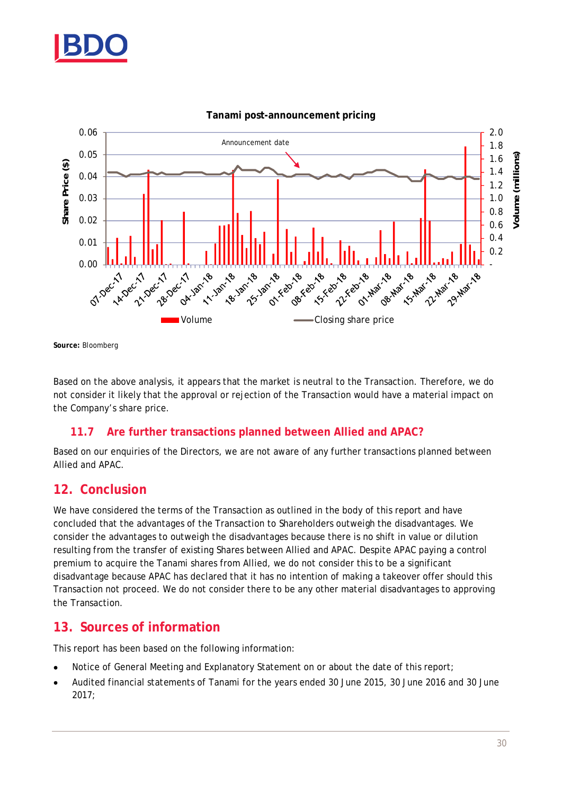



**Tanami post-announcement pricing**

**Source:** Bloomberg

Based on the above analysis, it appears that the market is neutral to the Transaction. Therefore, we do not consider it likely that the approval or rejection of the Transaction would have a material impact on the Company's share price.

#### **11.7 Are further transactions planned between Allied and APAC?**

Based on our enquiries of the Directors, we are not aware of any further transactions planned between Allied and APAC.

#### **12. Conclusion**

We have considered the terms of the Transaction as outlined in the body of this report and have concluded that the advantages of the Transaction to Shareholders outweigh the disadvantages. We consider the advantages to outweigh the disadvantages because there is no shift in value or dilution resulting from the transfer of existing Shares between Allied and APAC. Despite APAC paying a control premium to acquire the Tanami shares from Allied, we do not consider this to be a significant disadvantage because APAC has declared that it has no intention of making a takeover offer should this Transaction not proceed. We do not consider there to be any other material disadvantages to approving the Transaction.

### **13. Sources of information**

This report has been based on the following information:

- Notice of General Meeting and Explanatory Statement on or about the date of this report;
- · Audited financial statements of Tanami for the years ended 30 June 2015, 30 June 2016 and 30 June 2017;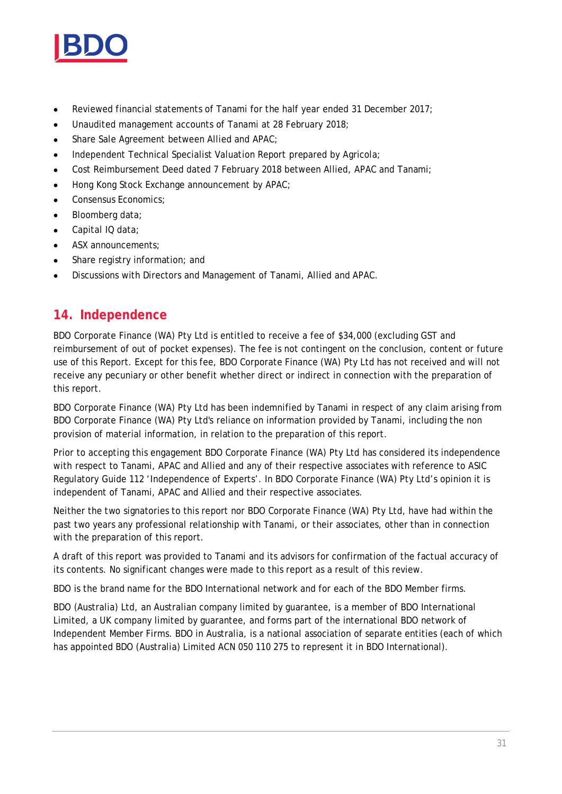

- · Reviewed financial statements of Tanami for the half year ended 31 December 2017;
- · Unaudited management accounts of Tanami at 28 February 2018;
- · Share Sale Agreement between Allied and APAC;
- Independent Technical Specialist Valuation Report prepared by Agricola;
- Cost Reimbursement Deed dated 7 February 2018 between Allied, APAC and Tanami;
- · Hong Kong Stock Exchange announcement by APAC;
- Consensus Economics;
- Bloomberg data;
- · Capital IQ data;
- ASX announcements;
- Share registry information; and
- · Discussions with Directors and Management of Tanami, Allied and APAC.

# **14. Independence**

BDO Corporate Finance (WA) Pty Ltd is entitled to receive a fee of \$34,000 (excluding GST and reimbursement of out of pocket expenses). The fee is not contingent on the conclusion, content or future use of this Report. Except for this fee, BDO Corporate Finance (WA) Pty Ltd has not received and will not receive any pecuniary or other benefit whether direct or indirect in connection with the preparation of this report.

BDO Corporate Finance (WA) Pty Ltd has been indemnified by Tanami in respect of any claim arising from BDO Corporate Finance (WA) Pty Ltd's reliance on information provided by Tanami, including the non provision of material information, in relation to the preparation of this report.

Prior to accepting this engagement BDO Corporate Finance (WA) Pty Ltd has considered its independence with respect to Tanami, APAC and Allied and any of their respective associates with reference to ASIC Regulatory Guide 112 'Independence of Experts'. In BDO Corporate Finance (WA) Pty Ltd's opinion it is independent of Tanami, APAC and Allied and their respective associates.

Neither the two signatories to this report nor BDO Corporate Finance (WA) Pty Ltd, have had within the past two years any professional relationship with Tanami, or their associates, other than in connection with the preparation of this report.

A draft of this report was provided to Tanami and its advisors for confirmation of the factual accuracy of its contents. No significant changes were made to this report as a result of this review.

BDO is the brand name for the BDO International network and for each of the BDO Member firms.

BDO (Australia) Ltd, an Australian company limited by guarantee, is a member of BDO International Limited, a UK company limited by guarantee, and forms part of the international BDO network of Independent Member Firms. BDO in Australia, is a national association of separate entities (each of which has appointed BDO (Australia) Limited ACN 050 110 275 to represent it in BDO International).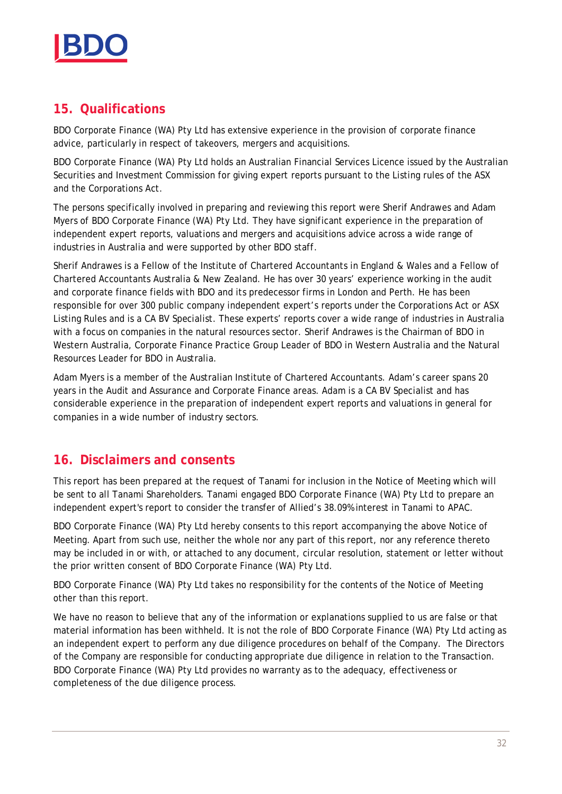

# **15. Qualifications**

BDO Corporate Finance (WA) Pty Ltd has extensive experience in the provision of corporate finance advice, particularly in respect of takeovers, mergers and acquisitions.

BDO Corporate Finance (WA) Pty Ltd holds an Australian Financial Services Licence issued by the Australian Securities and Investment Commission for giving expert reports pursuant to the Listing rules of the ASX and the Corporations Act.

The persons specifically involved in preparing and reviewing this report were Sherif Andrawes and Adam Myers of BDO Corporate Finance (WA) Pty Ltd. They have significant experience in the preparation of independent expert reports, valuations and mergers and acquisitions advice across a wide range of industries in Australia and were supported by other BDO staff.

Sherif Andrawes is a Fellow of the Institute of Chartered Accountants in England & Wales and a Fellow of Chartered Accountants Australia & New Zealand. He has over 30 years' experience working in the audit and corporate finance fields with BDO and its predecessor firms in London and Perth. He has been responsible for over 300 public company independent expert's reports under the Corporations Act or ASX Listing Rules and is a CA BV Specialist. These experts' reports cover a wide range of industries in Australia with a focus on companies in the natural resources sector. Sherif Andrawes is the Chairman of BDO in Western Australia, Corporate Finance Practice Group Leader of BDO in Western Australia and the Natural Resources Leader for BDO in Australia.

Adam Myers is a member of the Australian Institute of Chartered Accountants. Adam's career spans 20 years in the Audit and Assurance and Corporate Finance areas. Adam is a CA BV Specialist and has considerable experience in the preparation of independent expert reports and valuations in general for companies in a wide number of industry sectors.

# **16. Disclaimers and consents**

This report has been prepared at the request of Tanami for inclusion in the Notice of Meeting which will be sent to all Tanami Shareholders. Tanami engaged BDO Corporate Finance (WA) Pty Ltd to prepare an independent expert's report to consider the transfer of Allied's 38.09% interest in Tanami to APAC.

BDO Corporate Finance (WA) Pty Ltd hereby consents to this report accompanying the above Notice of Meeting. Apart from such use, neither the whole nor any part of this report, nor any reference thereto may be included in or with, or attached to any document, circular resolution, statement or letter without the prior written consent of BDO Corporate Finance (WA) Pty Ltd.

BDO Corporate Finance (WA) Pty Ltd takes no responsibility for the contents of the Notice of Meeting other than this report.

We have no reason to believe that any of the information or explanations supplied to us are false or that material information has been withheld. It is not the role of BDO Corporate Finance (WA) Pty Ltd acting as an independent expert to perform any due diligence procedures on behalf of the Company. The Directors of the Company are responsible for conducting appropriate due diligence in relation to the Transaction. BDO Corporate Finance (WA) Pty Ltd provides no warranty as to the adequacy, effectiveness or completeness of the due diligence process.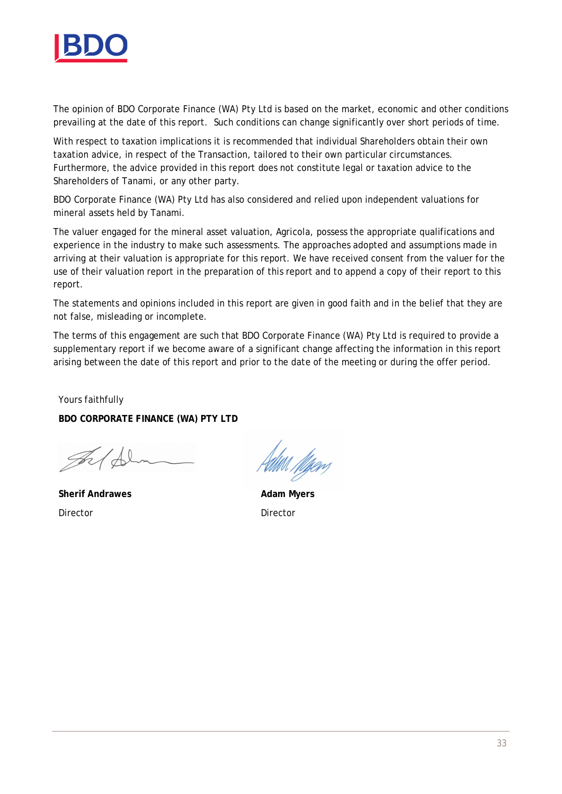

The opinion of BDO Corporate Finance (WA) Pty Ltd is based on the market, economic and other conditions prevailing at the date of this report. Such conditions can change significantly over short periods of time.

With respect to taxation implications it is recommended that individual Shareholders obtain their own taxation advice, in respect of the Transaction, tailored to their own particular circumstances. Furthermore, the advice provided in this report does not constitute legal or taxation advice to the Shareholders of Tanami, or any other party.

BDO Corporate Finance (WA) Pty Ltd has also considered and relied upon independent valuations for mineral assets held by Tanami.

The valuer engaged for the mineral asset valuation, Agricola, possess the appropriate qualifications and experience in the industry to make such assessments. The approaches adopted and assumptions made in arriving at their valuation is appropriate for this report. We have received consent from the valuer for the use of their valuation report in the preparation of this report and to append a copy of their report to this report.

The statements and opinions included in this report are given in good faith and in the belief that they are not false, misleading or incomplete.

The terms of this engagement are such that BDO Corporate Finance (WA) Pty Ltd is required to provide a supplementary report if we become aware of a significant change affecting the information in this report arising between the date of this report and prior to the date of the meeting or during the offer period.

Yours faithfully **BDO CORPORATE FINANCE (WA) PTY LTD**

 $\mathscr{B}$ 

**Sherif Andrawes** Director

Uttill *Møen*s

**Adam Myers** Director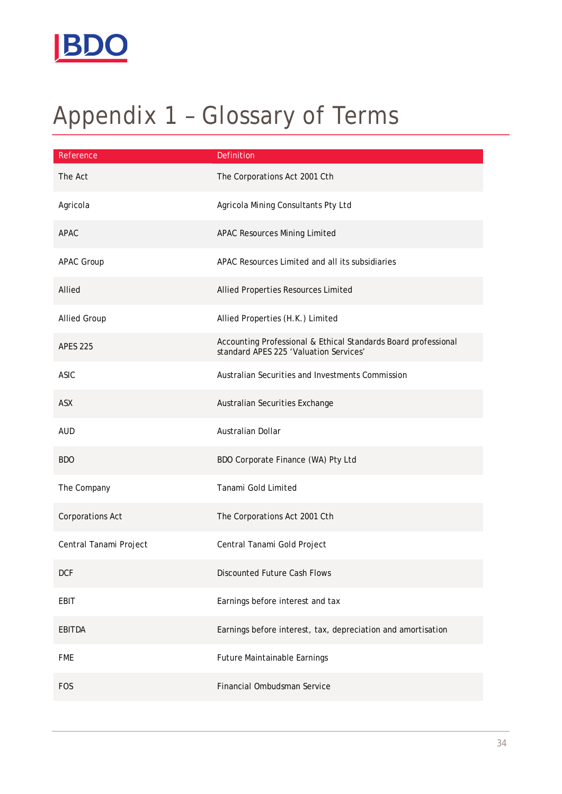

# Appendix 1 – Glossary of Terms

| Reference              | Definition                                                                                               |
|------------------------|----------------------------------------------------------------------------------------------------------|
| The Act                | The Corporations Act 2001 Cth                                                                            |
| Agricola               | Agricola Mining Consultants Pty Ltd                                                                      |
| APAC                   | <b>APAC Resources Mining Limited</b>                                                                     |
| APAC Group             | APAC Resources Limited and all its subsidiaries                                                          |
| Allied                 | Allied Properties Resources Limited                                                                      |
| <b>Allied Group</b>    | Allied Properties (H.K.) Limited                                                                         |
| <b>APES 225</b>        | Accounting Professional & Ethical Standards Board professional<br>standard APES 225 'Valuation Services' |
| <b>ASIC</b>            | Australian Securities and Investments Commission                                                         |
| ASX                    | Australian Securities Exchange                                                                           |
| <b>AUD</b>             | Australian Dollar                                                                                        |
| <b>BDO</b>             | BDO Corporate Finance (WA) Pty Ltd                                                                       |
| The Company            | Tanami Gold Limited                                                                                      |
| Corporations Act       | The Corporations Act 2001 Cth                                                                            |
| Central Tanami Project | Central Tanami Gold Project                                                                              |
| <b>DCF</b>             | Discounted Future Cash Flows                                                                             |
| EBIT                   | Earnings before interest and tax                                                                         |
| EBITDA                 | Earnings before interest, tax, depreciation and amortisation                                             |
| <b>FME</b>             | Future Maintainable Earnings                                                                             |
| <b>FOS</b>             | Financial Ombudsman Service                                                                              |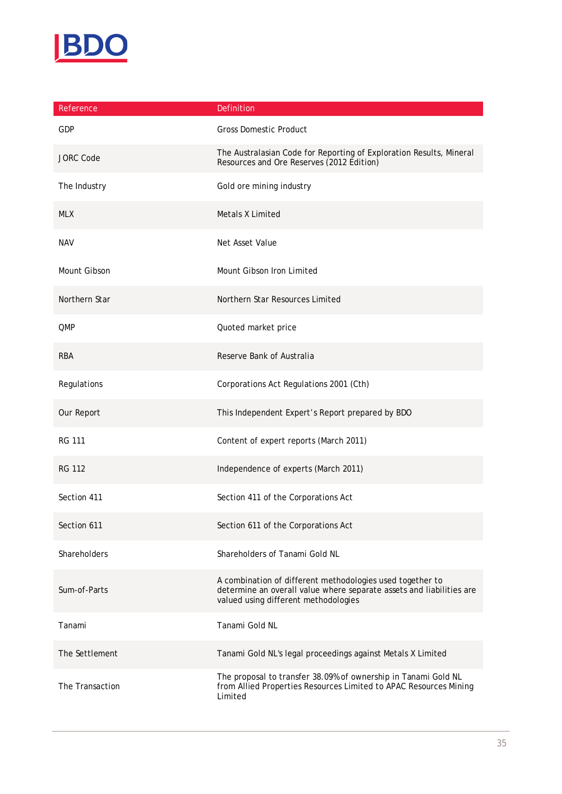

| Reference           | Definition                                                                                                                                                                |
|---------------------|---------------------------------------------------------------------------------------------------------------------------------------------------------------------------|
| <b>GDP</b>          | <b>Gross Domestic Product</b>                                                                                                                                             |
| <b>JORC Code</b>    | The Australasian Code for Reporting of Exploration Results, Mineral<br>Resources and Ore Reserves (2012 Edition)                                                          |
| The Industry        | Gold ore mining industry                                                                                                                                                  |
| <b>MLX</b>          | Metals X Limited                                                                                                                                                          |
| <b>NAV</b>          | Net Asset Value                                                                                                                                                           |
| Mount Gibson        | Mount Gibson Iron Limited                                                                                                                                                 |
| Northern Star       | Northern Star Resources Limited                                                                                                                                           |
| <b>QMP</b>          | Quoted market price                                                                                                                                                       |
| <b>RBA</b>          | Reserve Bank of Australia                                                                                                                                                 |
| Regulations         | Corporations Act Regulations 2001 (Cth)                                                                                                                                   |
| Our Report          | This Independent Expert's Report prepared by BDO                                                                                                                          |
| <b>RG 111</b>       | Content of expert reports (March 2011)                                                                                                                                    |
| <b>RG 112</b>       | Independence of experts (March 2011)                                                                                                                                      |
| Section 411         | Section 411 of the Corporations Act                                                                                                                                       |
| Section 611         | Section 611 of the Corporations Act                                                                                                                                       |
| <b>Shareholders</b> | Shareholders of Tanami Gold NL                                                                                                                                            |
| Sum-of-Parts        | A combination of different methodologies used together to<br>determine an overall value where separate assets and liabilities are<br>valued using different methodologies |
| Tanami              | Tanami Gold NL                                                                                                                                                            |
| The Settlement      | Tanami Gold NL's legal proceedings against Metals X Limited                                                                                                               |
| The Transaction     | The proposal to transfer 38.09% of ownership in Tanami Gold NL<br>from Allied Properties Resources Limited to APAC Resources Mining<br>Limited                            |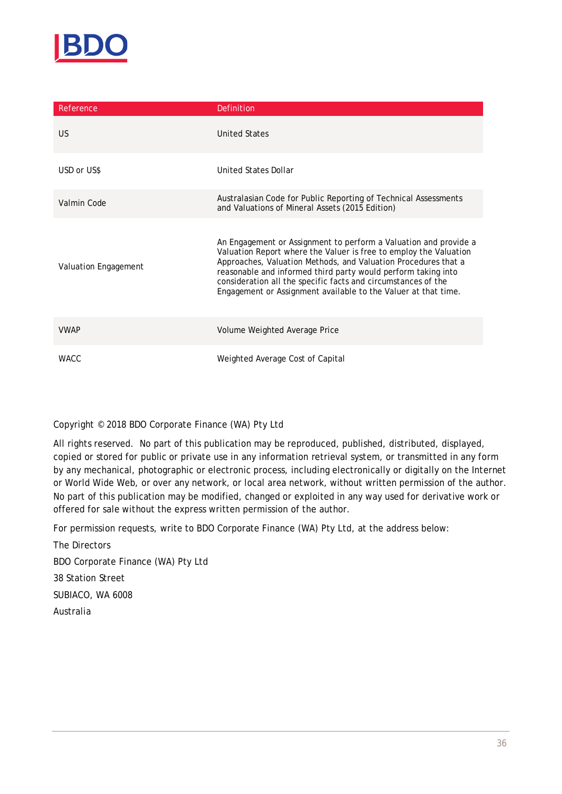

| Reference            | Definition                                                                                                                                                                                                                                                                                                                                                                                                  |
|----------------------|-------------------------------------------------------------------------------------------------------------------------------------------------------------------------------------------------------------------------------------------------------------------------------------------------------------------------------------------------------------------------------------------------------------|
| <b>US</b>            | United States                                                                                                                                                                                                                                                                                                                                                                                               |
| USD or US\$          | United States Dollar                                                                                                                                                                                                                                                                                                                                                                                        |
| Valmin Code          | Australasian Code for Public Reporting of Technical Assessments<br>and Valuations of Mineral Assets (2015 Edition)                                                                                                                                                                                                                                                                                          |
| Valuation Engagement | An Engagement or Assignment to perform a Valuation and provide a<br>Valuation Report where the Valuer is free to employ the Valuation<br>Approaches, Valuation Methods, and Valuation Procedures that a<br>reasonable and informed third party would perform taking into<br>consideration all the specific facts and circumstances of the<br>Engagement or Assignment available to the Valuer at that time. |
| <b>VWAP</b>          | Volume Weighted Average Price                                                                                                                                                                                                                                                                                                                                                                               |
| <b>WACC</b>          | Weighted Average Cost of Capital                                                                                                                                                                                                                                                                                                                                                                            |

#### Copyright © 2018 BDO Corporate Finance (WA) Pty Ltd

All rights reserved. No part of this publication may be reproduced, published, distributed, displayed, copied or stored for public or private use in any information retrieval system, or transmitted in any form by any mechanical, photographic or electronic process, including electronically or digitally on the Internet or World Wide Web, or over any network, or local area network, without written permission of the author. No part of this publication may be modified, changed or exploited in any way used for derivative work or offered for sale without the express written permission of the author.

For permission requests, write to BDO Corporate Finance (WA) Pty Ltd, at the address below:

The Directors BDO Corporate Finance (WA) Pty Ltd 38 Station Street SUBIACO, WA 6008 Australia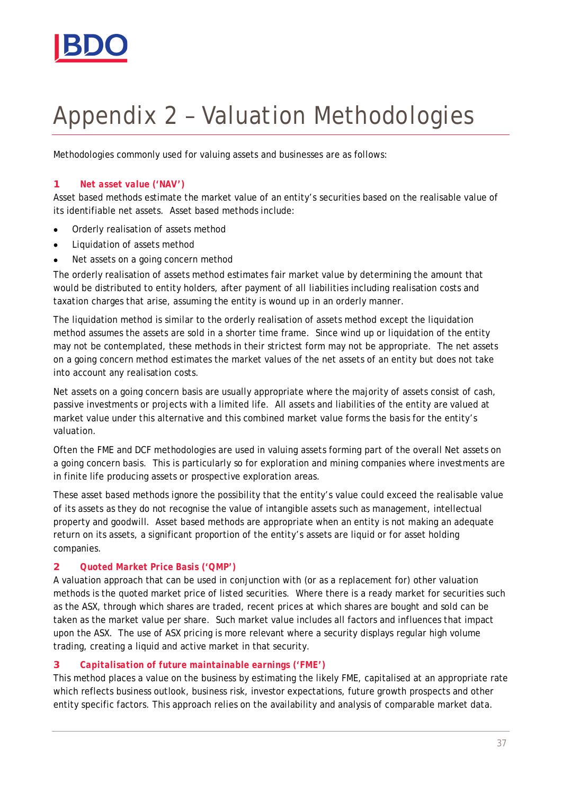

# Appendix 2 – Valuation Methodologies

Methodologies commonly used for valuing assets and businesses are as follows:

#### **1** *Net asset value ('NAV')*

Asset based methods estimate the market value of an entity's securities based on the realisable value of its identifiable net assets. Asset based methods include:

- · Orderly realisation of assets method
- · Liquidation of assets method
- · Net assets on a going concern method

The orderly realisation of assets method estimates fair market value by determining the amount that would be distributed to entity holders, after payment of all liabilities including realisation costs and taxation charges that arise, assuming the entity is wound up in an orderly manner.

The liquidation method is similar to the orderly realisation of assets method except the liquidation method assumes the assets are sold in a shorter time frame. Since wind up or liquidation of the entity may not be contemplated, these methods in their strictest form may not be appropriate. The net assets on a going concern method estimates the market values of the net assets of an entity but does not take into account any realisation costs.

Net assets on a going concern basis are usually appropriate where the majority of assets consist of cash, passive investments or projects with a limited life. All assets and liabilities of the entity are valued at market value under this alternative and this combined market value forms the basis for the entity's valuation.

Often the FME and DCF methodologies are used in valuing assets forming part of the overall Net assets on a going concern basis. This is particularly so for exploration and mining companies where investments are in finite life producing assets or prospective exploration areas.

These asset based methods ignore the possibility that the entity's value could exceed the realisable value of its assets as they do not recognise the value of intangible assets such as management, intellectual property and goodwill. Asset based methods are appropriate when an entity is not making an adequate return on its assets, a significant proportion of the entity's assets are liquid or for asset holding companies.

#### **2** *Quoted Market Price Basis ('QMP')*

A valuation approach that can be used in conjunction with (or as a replacement for) other valuation methods is the quoted market price of listed securities. Where there is a ready market for securities such as the ASX, through which shares are traded, recent prices at which shares are bought and sold can be taken as the market value per share. Such market value includes all factors and influences that impact upon the ASX. The use of ASX pricing is more relevant where a security displays regular high volume trading, creating a liquid and active market in that security.

#### **3** *Capitalisation of future maintainable earnings ('FME')*

This method places a value on the business by estimating the likely FME, capitalised at an appropriate rate which reflects business outlook, business risk, investor expectations, future growth prospects and other entity specific factors. This approach relies on the availability and analysis of comparable market data.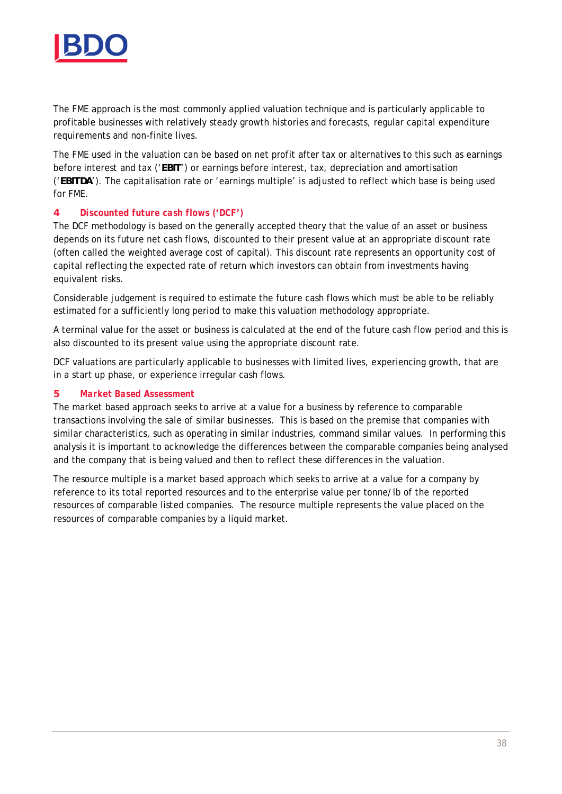

The FME approach is the most commonly applied valuation technique and is particularly applicable to profitable businesses with relatively steady growth histories and forecasts, regular capital expenditure requirements and non-finite lives.

The FME used in the valuation can be based on net profit after tax or alternatives to this such as earnings before interest and tax ('**EBIT**') or earnings before interest, tax, depreciation and amortisation ('**EBITDA**'). The capitalisation rate or 'earnings multiple' is adjusted to reflect which base is being used for FME.

#### **4** *Discounted future cash flows ('DCF')*

The DCF methodology is based on the generally accepted theory that the value of an asset or business depends on its future net cash flows, discounted to their present value at an appropriate discount rate (often called the weighted average cost of capital). This discount rate represents an opportunity cost of capital reflecting the expected rate of return which investors can obtain from investments having equivalent risks.

Considerable judgement is required to estimate the future cash flows which must be able to be reliably estimated for a sufficiently long period to make this valuation methodology appropriate.

A terminal value for the asset or business is calculated at the end of the future cash flow period and this is also discounted to its present value using the appropriate discount rate.

DCF valuations are particularly applicable to businesses with limited lives, experiencing growth, that are in a start up phase, or experience irregular cash flows.

#### **5** *Market Based Assessment*

The market based approach seeks to arrive at a value for a business by reference to comparable transactions involving the sale of similar businesses. This is based on the premise that companies with similar characteristics, such as operating in similar industries, command similar values. In performing this analysis it is important to acknowledge the differences between the comparable companies being analysed and the company that is being valued and then to reflect these differences in the valuation.

The resource multiple is a market based approach which seeks to arrive at a value for a company by reference to its total reported resources and to the enterprise value per tonne/lb of the reported resources of comparable listed companies. The resource multiple represents the value placed on the resources of comparable companies by a liquid market.